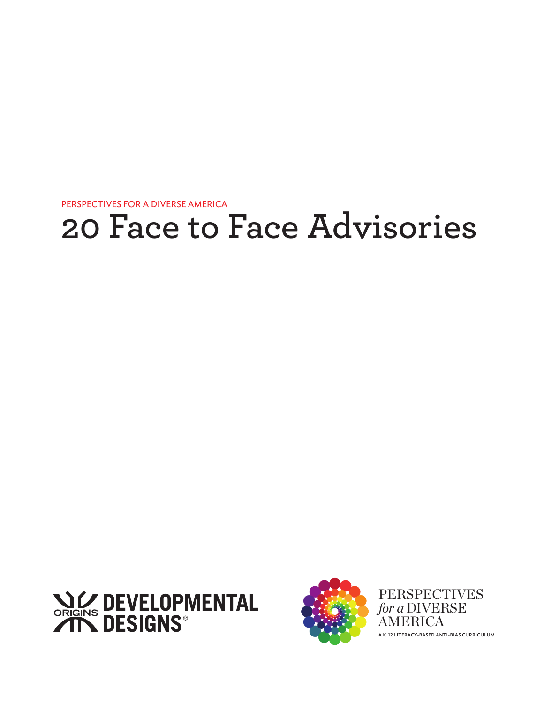



PERSPECTIVES *for a* DIVERSE AMERICA A K-12 LITERACY-BASED ANTI-BIAS CURRICULUM

# **20 Face to Face Advisories**

PERSPECTIVES FOR A DIVERSE AMERICA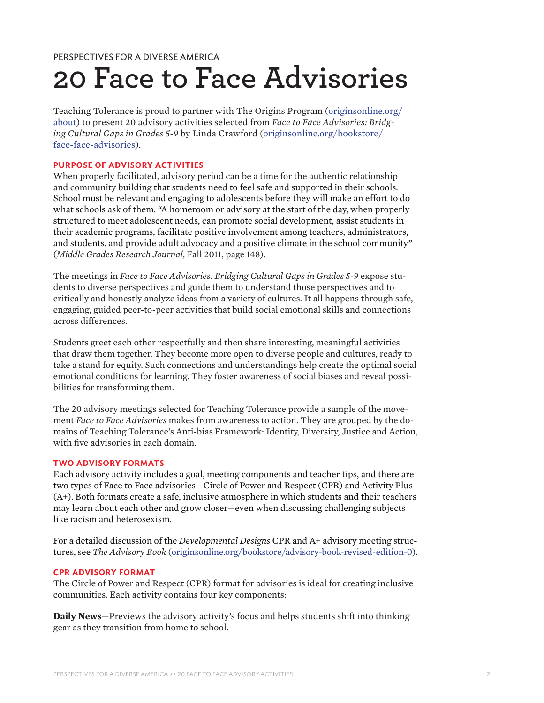# **20 Face to Face Advisories**

Teaching Tolerance is proud to partner with The Origins Program ([originsonline.org/](http://originsonline.org/about) [about](http://originsonline.org/about)) to present 20 advisory activities selected from *Face to Face Advisories: Bridging Cultural Gaps in Grades 5-9* by Linda Crawford [\(originsonline.org/bookstore/](http://originsonline.org/bookstore/face-face-advisories) [face-face-advisories](http://originsonline.org/bookstore/face-face-advisories)).

#### **PURPOSE OF ADVISORY ACTIVITIES**

When properly facilitated, advisory period can be a time for the authentic relationship and community building that students need to feel safe and supported in their schools. School must be relevant and engaging to adolescents before they will make an effort to do what schools ask of them. "A homeroom or advisory at the start of the day, when properly structured to meet adolescent needs, can promote social development, assist students in their academic programs, facilitate positive involvement among teachers, administrators, and students, and provide adult advocacy and a positive climate in the school community" (*Middle Grades Research Journal,* Fall 2011, page 148).

The meetings in *Face to Face Advisories: Bridging Cultural Gaps in Grades 5-9* expose students to diverse perspectives and guide them to understand those perspectives and to critically and honestly analyze ideas from a variety of cultures. It all happens through safe, engaging, guided peer-to-peer activities that build social emotional skills and connections across differences.

Students greet each other respectfully and then share interesting, meaningful activities that draw them together. They become more open to diverse people and cultures, ready to take a stand for equity. Such connections and understandings help create the optimal social emotional conditions for learning. They foster awareness of social biases and reveal possibilities for transforming them.

The 20 advisory meetings selected for Teaching Tolerance provide a sample of the movement *Face to Face Advisories* makes from awareness to action. They are grouped by the domains of Teaching Tolerance's Anti-bias Framework: Identity, Diversity, Justice and Action, with five advisories in each domain.

#### **TWO ADVISORY FORMATS**

Each advisory activity includes a goal, meeting components and teacher tips, and there are two types of Face to Face advisories—Circle of Power and Respect (CPR) and Activity Plus (A+). Both formats create a safe, inclusive atmosphere in which students and their teachers may learn about each other and grow closer—even when discussing challenging subjects like racism and heterosexism.

For a detailed discussion of the *Developmental Designs* CPR and A+ advisory meeting structures, see *The Advisory Book* [\(originsonline.org/bookstore/advisory-book-revised-edition-0](http://originsonline.org/bookstore/advisory-book-revised-edition-0)).

#### **CPR ADVISORY FORMAT**

The Circle of Power and Respect (CPR) format for advisories is ideal for creating inclusive communities. Each activity contains four key components:

**Daily News**—Previews the advisory activity's focus and helps students shift into thinking gear as they transition from home to school.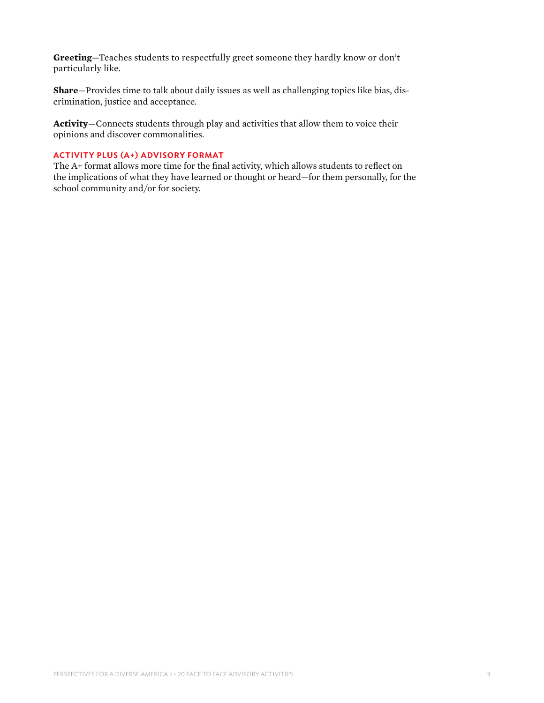**Greeting**—Teaches students to respectfully greet someone they hardly know or don't particularly like.

**Share**—Provides time to talk about daily issues as well as challenging topics like bias, discrimination, justice and acceptance.

**Activity**—Connects students through play and activities that allow them to voice their opinions and discover commonalities.

#### **ACTIVITY PLUS (A+) ADVISORY FORMAT**

The A+ format allows more time for the final activity, which allows students to reflect on the implications of what they have learned or thought or heard—for them personally, for the school community and/or for society.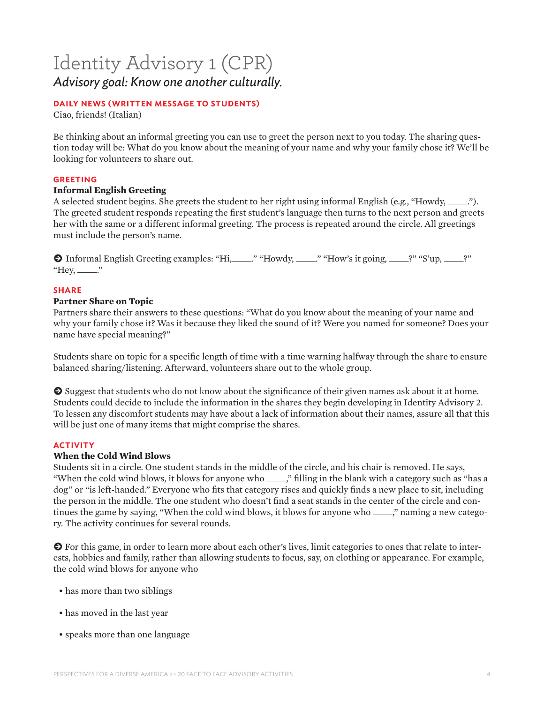## Identity Advisory 1 (CPR) *Advisory goal: Know one another culturally.*

#### **DAILY NEWS (WRITTEN MESSAGE TO STUDENTS)**

Ciao, friends! (Italian)

Be thinking about an informal greeting you can use to greet the person next to you today. The sharing question today will be: What do you know about the meaning of your name and why your family chose it? We'll be looking for volunteers to share out.

#### **GREETING**

#### **Informal English Greeting**

A selected student begins. She greets the student to her right using informal English (e.g., "Howdy, \_\_\_\_\_."). The greeted student responds repeating the first student's language then turns to the next person and greets her with the same or a different informal greeting. The process is repeated around the circle. All greetings must include the person's name.

● Informal English Greeting examples: "Hi, \_\_\_\_." "Howdy, \_\_\_\_." "How's it going, \_\_\_\_?" "S'up, \_\_\_\_?" "Hey,  $\frac{1}{2}$ "

#### **SHARE**

#### **Partner Share on Topic**

Partners share their answers to these questions: "What do you know about the meaning of your name and why your family chose it? Was it because they liked the sound of it? Were you named for someone? Does your name have special meaning?"

Students share on topic for a specific length of time with a time warning halfway through the share to ensure balanced sharing/listening. Afterward, volunteers share out to the whole group.

**E** Suggest that students who do not know about the significance of their given names ask about it at home. Students could decide to include the information in the shares they begin developing in Identity Advisory 2. To lessen any discomfort students may have about a lack of information about their names, assure all that this will be just one of many items that might comprise the shares.

#### **ACTIVITY**

#### **When the Cold Wind Blows**

Students sit in a circle. One student stands in the middle of the circle, and his chair is removed. He says, "When the cold wind blows, it blows for anyone who \_\_\_\_\_," filling in the blank with a category such as "has a dog" or "is left-handed." Everyone who fits that category rises and quickly finds a new place to sit, including the person in the middle. The one student who doesn't find a seat stands in the center of the circle and continues the game by saying, "When the cold wind blows, it blows for anyone who \_\_\_\_\_," naming a new category. The activity continues for several rounds.

k For this game, in order to learn more about each other's lives, limit categories to ones that relate to interests, hobbies and family, rather than allowing students to focus, say, on clothing or appearance. For example, the cold wind blows for anyone who

- has more than two siblings
- has moved in the last year
- speaks more than one language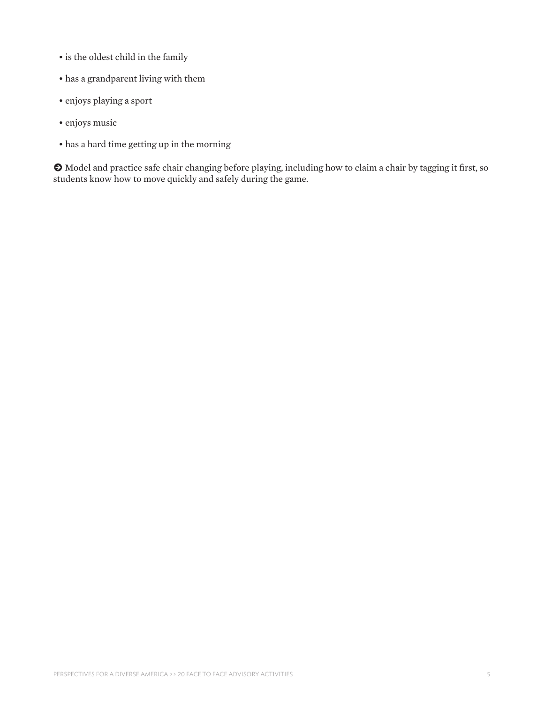- is the oldest child in the family
- has a grandparent living with them
- enjoys playing a sport
- enjoys music
- has a hard time getting up in the morning

k Model and practice safe chair changing before playing, including how to claim a chair by tagging it first, so students know how to move quickly and safely during the game.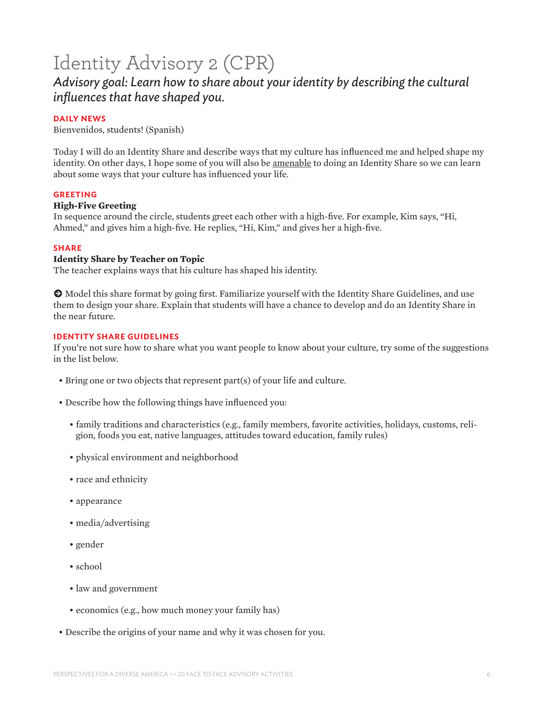# Identity Advisory 2 (CPR)

### *Advisory goal: Learn how to share about your identity by describing the cultural influences that have shaped you.*

#### **DAILY NEWS**

Bienvenidos, students! (Spanish)

Today I will do an Identity Share and describe ways that my culture has influenced me and helped shape my identity. On other days, I hope some of you will also be amenable to doing an Identity Share so we can learn about some ways that your culture has influenced your life.

#### **GREETING**

#### **High-Five Greeting**

In sequence around the circle, students greet each other with a high-five. For example, Kim says, "Hi, Ahmed," and gives him a high-five. He replies, "Hi, Kim," and gives her a high-five.

#### **SHARE**

#### **Identity Share by Teacher on Topic**

The teacher explains ways that his culture has shaped his identity.

 $\odot$  Model this share format by going first. Familiarize yourself with the Identity Share Guidelines, and use them to design your share. Explain that students will have a chance to develop and do an Identity Share in the near future.

#### **IDENTITY SHARE GUIDELINES**

If you're not sure how to share what you want people to know about your culture, try some of the suggestions in the list below.

- Bring one or two objects that represent part(s) of your life and culture.
- Describe how the following things have influenced you:
	- family traditions and characteristics (e.g., family members, favorite activities, holidays, customs, religion, foods you eat, native languages, attitudes toward education, family rules)
	- physical environment and neighborhood
	- race and ethnicity
	- appearance
	- media/advertising
	- gender
	- school
	- law and government
	- economics (e.g., how much money your family has)
- Describe the origins of your name and why it was chosen for you.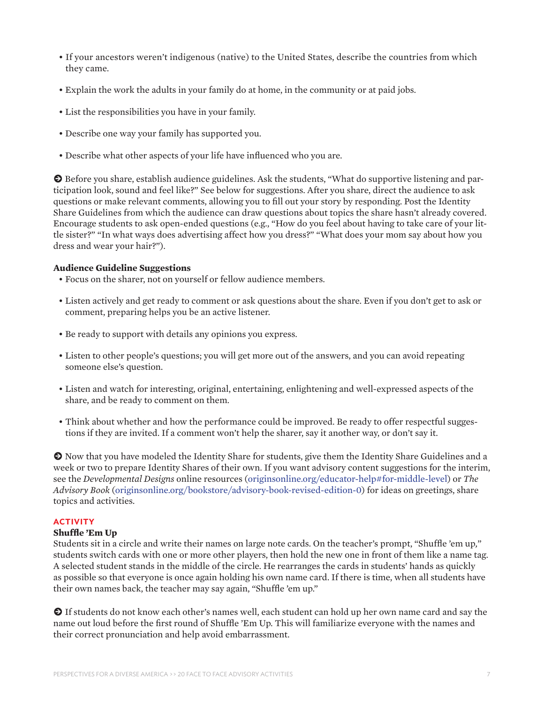- If your ancestors weren't indigenous (native) to the United States, describe the countries from which they came.
- Explain the work the adults in your family do at home, in the community or at paid jobs.
- List the responsibilities you have in your family.
- Describe one way your family has supported you.
- Describe what other aspects of your life have influenced who you are.

 $\odot$  Before you share, establish audience guidelines. Ask the students, "What do supportive listening and participation look, sound and feel like?" See below for suggestions. After you share, direct the audience to ask questions or make relevant comments, allowing you to fill out your story by responding. Post the Identity Share Guidelines from which the audience can draw questions about topics the share hasn't already covered. Encourage students to ask open-ended questions (e.g., "How do you feel about having to take care of your little sister?" "In what ways does advertising affect how you dress?" "What does your mom say about how you dress and wear your hair?").

#### **Audience Guideline Suggestions**

- Focus on the sharer, not on yourself or fellow audience members.
- Listen actively and get ready to comment or ask questions about the share. Even if you don't get to ask or comment, preparing helps you be an active listener.
- Be ready to support with details any opinions you express.
- Listen to other people's questions; you will get more out of the answers, and you can avoid repeating someone else's question.
- Listen and watch for interesting, original, entertaining, enlightening and well-expressed aspects of the share, and be ready to comment on them.
- Think about whether and how the performance could be improved. Be ready to offer respectful suggestions if they are invited. If a comment won't help the sharer, say it another way, or don't say it.

**O** Now that you have modeled the Identity Share for students, give them the Identity Share Guidelines and a week or two to prepare Identity Shares of their own. If you want advisory content suggestions for the interim, see the *Developmental Designs* online resources [\(originsonline.org/educator-help#for-middle-level\)](http://originsonline.org/educator-help#for-middle-level) or *The Advisory Book* ([originsonline.org/bookstore/advisory-book-revised-edition-0](http://originsonline.org/bookstore/advisory-book-revised-edition-0)) for ideas on greetings, share topics and activities.

#### **ACTIVITY**

#### **Shuffle 'Em Up**

Students sit in a circle and write their names on large note cards. On the teacher's prompt, "Shuffle 'em up*,*" students switch cards with one or more other players, then hold the new one in front of them like a name tag. A selected student stands in the middle of the circle. He rearranges the cards in students' hands as quickly as possible so that everyone is once again holding his own name card. If there is time, when all students have their own names back, the teacher may say again, "Shuffle 'em up."

**O** If students do not know each other's names well, each student can hold up her own name card and say the name out loud before the first round of Shuffle 'Em Up. This will familiarize everyone with the names and their correct pronunciation and help avoid embarrassment.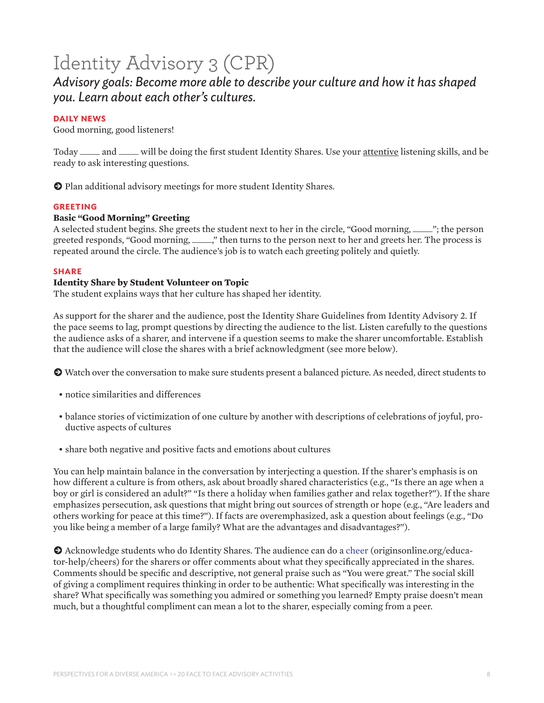# Identity Advisory 3 (CPR)

### *Advisory goals: Become more able to describe your culture and how it has shaped you. Learn about each other's cultures.*

#### **DAILY NEWS**

Good morning, good listeners!

Today \_\_\_\_\_ and \_\_\_\_\_ will be doing the first student Identity Shares. Use your attentive listening skills, and be ready to ask interesting questions.

**O** Plan additional advisory meetings for more student Identity Shares.

#### **GREETING**

#### **Basic "Good Morning" Greeting**

A selected student begins. She greets the student next to her in the circle, "Good morning, \_\_\_\_\_"; the person greeted responds, "Good morning, \_\_\_\_\_," then turns to the person next to her and greets her. The process is repeated around the circle. The audience's job is to watch each greeting politely and quietly.

#### **SHARE**

#### **Identity Share by Student Volunteer on Topic**

The student explains ways that her culture has shaped her identity.

As support for the sharer and the audience, post the Identity Share Guidelines from Identity Advisory 2*.* If the pace seems to lag, prompt questions by directing the audience to the list. Listen carefully to the questions the audience asks of a sharer, and intervene if a question seems to make the sharer uncomfortable. Establish that the audience will close the shares with a brief acknowledgment (see more below).

k Watch over the conversation to make sure students present a balanced picture. As needed, direct students to

- notice similarities and differences
- balance stories of victimization of one culture by another with descriptions of celebrations of joyful, productive aspects of cultures
- share both negative and positive facts and emotions about cultures

You can help maintain balance in the conversation by interjecting a question. If the sharer's emphasis is on how different a culture is from others, ask about broadly shared characteristics (e.g., "Is there an age when a boy or girl is considered an adult?" "Is there a holiday when families gather and relax together?"). If the share emphasizes persecution, ask questions that might bring out sources of strength or hope (e.g., "Are leaders and others working for peace at this time?"). If facts are overemphasized, ask a question about feelings (e.g., "Do you like being a member of a large family? What are the advantages and disadvantages?").

 $\bullet$  Acknowledge students who do Identity Shares. The audience can do [a cheer](http://www.originsonline.org/educator-help/cheers) (originsonline.org/educator-help/cheers) for the sharers or offer comments about what they specifically appreciated in the shares. Comments should be specific and descriptive, not general praise such as "You were great." The social skill of giving a compliment requires thinking in order to be authentic: What specifically was interesting in the share? What specifically was something you admired or something you learned? Empty praise doesn't mean much, but a thoughtful compliment can mean a lot to the sharer, especially coming from a peer.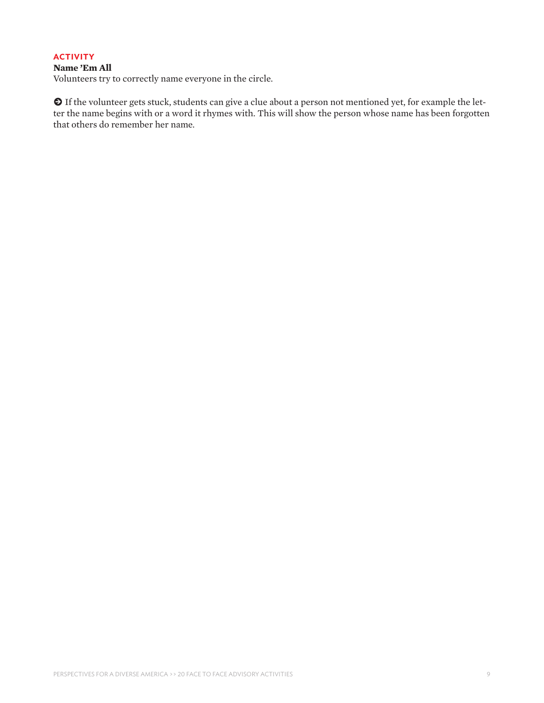#### **ACTIVITY**

#### **Name 'Em All**

Volunteers try to correctly name everyone in the circle.

 $\odot$  If the volunteer gets stuck, students can give a clue about a person not mentioned yet, for example the letter the name begins with or a word it rhymes with. This will show the person whose name has been forgotten that others do remember her name.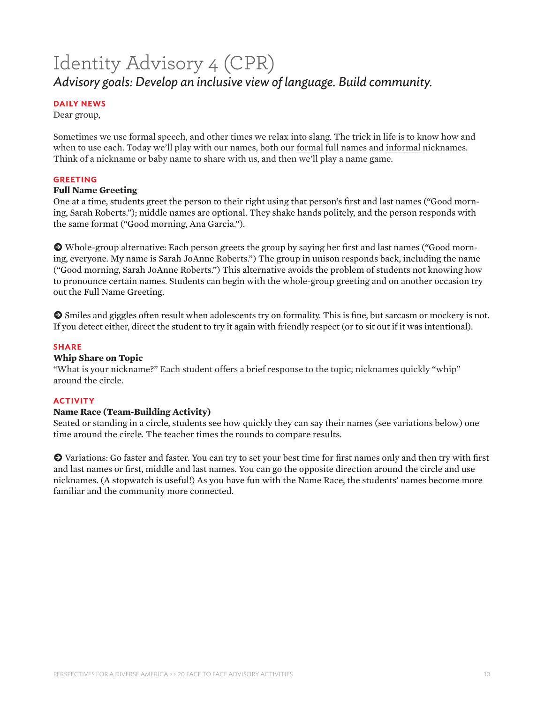# Identity Advisory 4 (CPR) *Advisory goals: Develop an inclusive view of language. Build community.*

#### **DAILY NEWS**

Dear group,

Sometimes we use formal speech, and other times we relax into slang. The trick in life is to know how and when to use each. Today we'll play with our names, both our formal full names and informal nicknames. Think of a nickname or baby name to share with us, and then we'll play a name game.

#### **GREETING**

#### **Full Name Greeting**

One at a time, students greet the person to their right using that person's first and last names ("Good morning, Sarah Roberts."); middle names are optional. They shake hands politely, and the person responds with the same format ("Good morning, Ana Garcia.").

k Whole-group alternative: Each person greets the group by saying her first and last names ("Good morning, everyone. My name is Sarah JoAnne Roberts.") The group in unison responds back, including the name ("Good morning, Sarah JoAnne Roberts.") This alternative avoids the problem of students not knowing how to pronounce certain names. Students can begin with the whole-group greeting and on another occasion try out the Full Name Greeting.

 $\bullet$  Smiles and giggles often result when adolescents try on formality. This is fine, but sarcasm or mockery is not. If you detect either, direct the student to try it again with friendly respect (or to sit out if it was intentional).

#### **SHARE**

#### **Whip Share on Topic**

"What is your nickname?" Each student offers a brief response to the topic; nicknames quickly "whip" around the circle.

#### **ACTIVITY**

#### **Name Race (Team-Building Activity)**

Seated or standing in a circle, students see how quickly they can say their names (see variations below) one time around the circle. The teacher times the rounds to compare results.

k Variations: Go faster and faster. You can try to set your best time for first names only and then try with first and last names or first, middle and last names. You can go the opposite direction around the circle and use nicknames. (A stopwatch is useful!) As you have fun with the Name Race, the students' names become more familiar and the community more connected.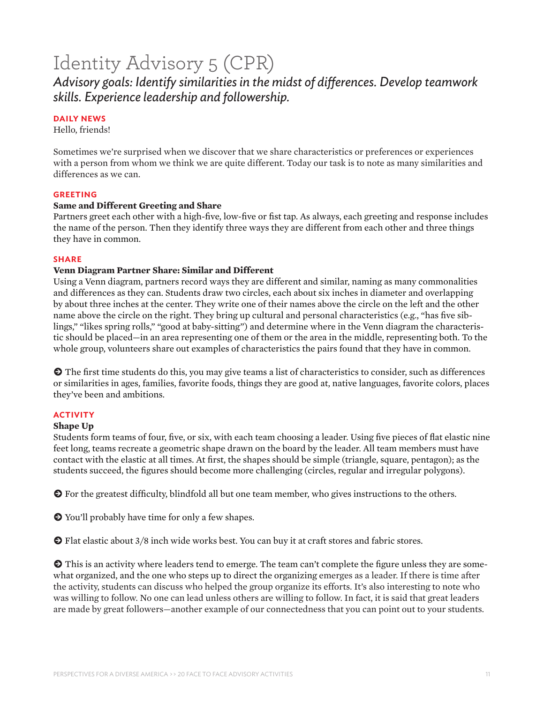# Identity Advisory 5 (CPR)

*Advisory goals: Identify similarities in the midst of differences. Develop teamwork skills. Experience leadership and followership.*

#### **DAILY NEWS**

Hello, friends!

Sometimes we're surprised when we discover that we share characteristics or preferences or experiences with a person from whom we think we are quite different. Today our task is to note as many similarities and differences as we can.

#### **GREETING**

#### **Same and Different Greeting and Share**

Partners greet each other with a high-five, low-five or fist tap. As always, each greeting and response includes the name of the person. Then they identify three ways they are different from each other and three things they have in common.

#### **SHARE**

#### **Venn Diagram Partner Share: Similar and Different**

Using a Venn diagram, partners record ways they are different and similar, naming as many commonalities and differences as they can. Students draw two circles, each about six inches in diameter and overlapping by about three inches at the center. They write one of their names above the circle on the left and the other name above the circle on the right. They bring up cultural and personal characteristics (e.g., "has five siblings," "likes spring rolls," "good at baby-sitting") and determine where in the Venn diagram the characteristic should be placed—in an area representing one of them or the area in the middle, representing both. To the whole group, volunteers share out examples of characteristics the pairs found that they have in common.

 $\bullet$  The first time students do this, you may give teams a list of characteristics to consider, such as differences or similarities in ages, families, favorite foods, things they are good at, native languages, favorite colors, places they've been and ambitions.

#### **ACTIVITY**

#### **Shape Up**

Students form teams of four, five, or six, with each team choosing a leader. Using five pieces of flat elastic nine feet long, teams recreate a geometric shape drawn on the board by the leader. All team members must have contact with the elastic at all times. At first, the shapes should be simple (triangle, square, pentagon); as the students succeed, the figures should become more challenging (circles, regular and irregular polygons).

 $\odot$  For the greatest difficulty, blindfold all but one team member, who gives instructions to the others.

 $\bullet$  You'll probably have time for only a few shapes.

 $\odot$  Flat elastic about 3/8 inch wide works best. You can buy it at craft stores and fabric stores.

 $\Theta$  This is an activity where leaders tend to emerge. The team can't complete the figure unless they are somewhat organized, and the one who steps up to direct the organizing emerges as a leader. If there is time after the activity, students can discuss who helped the group organize its efforts. It's also interesting to note who was willing to follow. No one can lead unless others are willing to follow. In fact, it is said that great leaders are made by great followers—another example of our connectedness that you can point out to your students.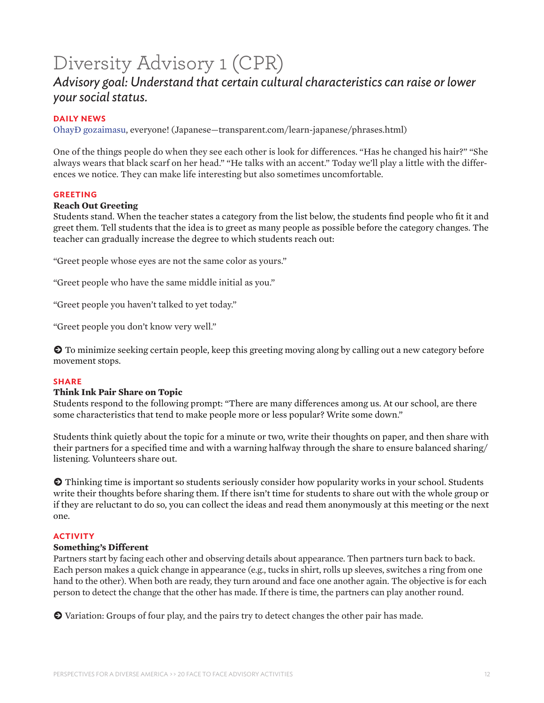# Diversity Advisory 1 (CPR)

### *Advisory goal: Understand that certain cultural characteristics can raise or lower your social status.*

#### **DAILY NEWS**

[Ohayō gozaimasu,](http://www.transparent.com/learn-japanese/phrases.html ) everyone! (Japanese—transparent.com/learn-japanese/phrases.html)

One of the things people do when they see each other is look for differences. "Has he changed his hair?" "She always wears that black scarf on her head." "He talks with an accent." Today we'll play a little with the differences we notice. They can make life interesting but also sometimes uncomfortable.

#### **GREETING**

#### **Reach Out Greeting**

Students stand. When the teacher states a category from the list below, the students find people who fit it and greet them. Tell students that the idea is to greet as many people as possible before the category changes. The teacher can gradually increase the degree to which students reach out:

"Greet people whose eyes are not the same color as yours."

"Greet people who have the same middle initial as you."

"Greet people you haven't talked to yet today."

"Greet people you don't know very well."

 $\odot$  To minimize seeking certain people, keep this greeting moving along by calling out a new category before movement stops.

#### **SHARE**

#### **Think Ink Pair Share on Topic**

Students respond to the following prompt: "There are many differences among us. At our school, are there some characteristics that tend to make people more or less popular? Write some down."

Students think quietly about the topic for a minute or two, write their thoughts on paper, and then share with their partners for a specified time and with a warning halfway through the share to ensure balanced sharing/ listening. Volunteers share out.

 $\odot$  Thinking time is important so students seriously consider how popularity works in your school. Students write their thoughts before sharing them. If there isn't time for students to share out with the whole group or if they are reluctant to do so, you can collect the ideas and read them anonymously at this meeting or the next one.

#### **ACTIVITY**

#### **Something's Different**

Partners start by facing each other and observing details about appearance. Then partners turn back to back. Each person makes a quick change in appearance (e.g., tucks in shirt, rolls up sleeves, switches a ring from one hand to the other). When both are ready, they turn around and face one another again. The objective is for each person to detect the change that the other has made. If there is time, the partners can play another round.

k Variation: Groups of four play, and the pairs try to detect changes the other pair has made.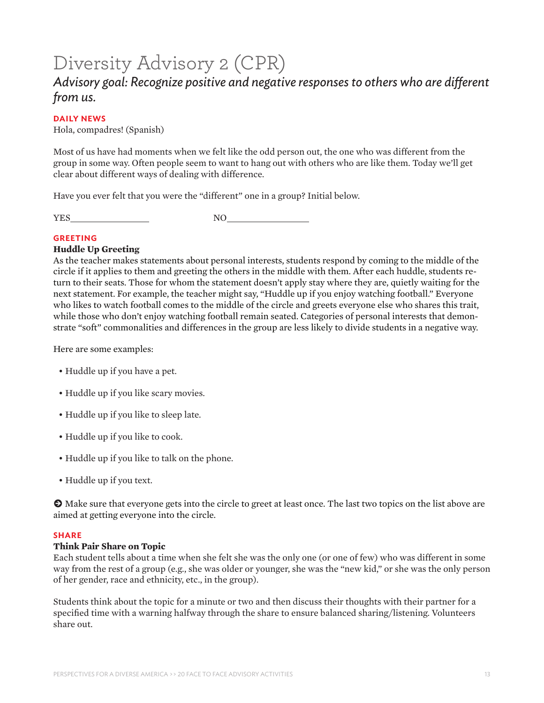# Diversity Advisory 2 (CPR)

### *Advisory goal: Recognize positive and negative responses to others who are different from us.*

#### **DAILY NEWS**

Hola, compadres! (Spanish)

Most of us have had moments when we felt like the odd person out, the one who was different from the group in some way. Often people seem to want to hang out with others who are like them. Today we'll get clear about different ways of dealing with difference.

Have you ever felt that you were the "different" one in a group? Initial below.

YES NO

#### **GREETING**

#### **Huddle Up Greeting**

As the teacher makes statements about personal interests, students respond by coming to the middle of the circle if it applies to them and greeting the others in the middle with them. After each huddle, students return to their seats. Those for whom the statement doesn't apply stay where they are, quietly waiting for the next statement. For example, the teacher might say, "Huddle up if you enjoy watching football." Everyone who likes to watch football comes to the middle of the circle and greets everyone else who shares this trait, while those who don't enjoy watching football remain seated. Categories of personal interests that demonstrate "soft" commonalities and differences in the group are less likely to divide students in a negative way.

Here are some examples:

- Huddle up if you have a pet.
- Huddle up if you like scary movies.
- Huddle up if you like to sleep late.
- Huddle up if you like to cook.
- Huddle up if you like to talk on the phone.
- Huddle up if you text.

 $\odot$  Make sure that everyone gets into the circle to greet at least once. The last two topics on the list above are aimed at getting everyone into the circle.

#### **SHARE**

#### **Think Pair Share on Topic**

Each student tells about a time when she felt she was the only one (or one of few) who was different in some way from the rest of a group (e.g., she was older or younger, she was the "new kid," or she was the only person of her gender, race and ethnicity, etc., in the group).

Students think about the topic for a minute or two and then discuss their thoughts with their partner for a specified time with a warning halfway through the share to ensure balanced sharing/listening. Volunteers share out.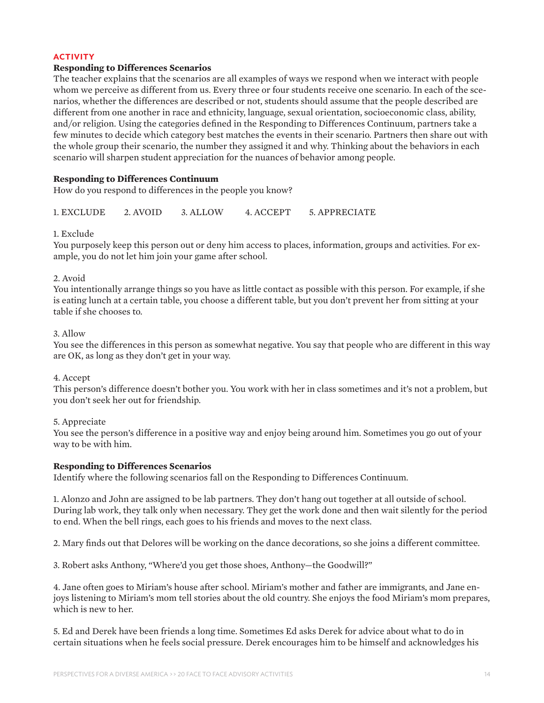#### **ACTIVITY**

#### **Responding to Differences Scenarios**

The teacher explains that the scenarios are all examples of ways we respond when we interact with people whom we perceive as different from us. Every three or four students receive one scenario. In each of the scenarios, whether the differences are described or not, students should assume that the people described are different from one another in race and ethnicity, language, sexual orientation, socioeconomic class, ability, and/or religion. Using the categories defined in the Responding to Differences Continuum, partners take a few minutes to decide which category best matches the events in their scenario. Partners then share out with the whole group their scenario, the number they assigned it and why. Thinking about the behaviors in each scenario will sharpen student appreciation for the nuances of behavior among people.

#### **Responding to Differences Continuum**

How do you respond to differences in the people you know?

1. EXCLUDE 2. AVOID 3. ALLOW 4. ACCEPT 5. APPRECIATE

#### 1. Exclude

You purposely keep this person out or deny him access to places, information, groups and activities. For example, you do not let him join your game after school.

#### 2. Avoid

You intentionally arrange things so you have as little contact as possible with this person. For example, if she is eating lunch at a certain table, you choose a different table, but you don't prevent her from sitting at your table if she chooses to.

#### 3. Allow

You see the differences in this person as somewhat negative. You say that people who are different in this way are OK, as long as they don't get in your way.

#### 4. Accept

This person's difference doesn't bother you. You work with her in class sometimes and it's not a problem, but you don't seek her out for friendship.

#### 5. Appreciate

You see the person's difference in a positive way and enjoy being around him. Sometimes you go out of your way to be with him.

#### **Responding to Differences Scenarios**

Identify where the following scenarios fall on the Responding to Differences Continuum.

1. Alonzo and John are assigned to be lab partners. They don't hang out together at all outside of school. During lab work, they talk only when necessary. They get the work done and then wait silently for the period to end. When the bell rings, each goes to his friends and moves to the next class.

2. Mary finds out that Delores will be working on the dance decorations, so she joins a different committee.

3. Robert asks Anthony, "Where'd you get those shoes, Anthony—the Goodwill?"

4. Jane often goes to Miriam's house after school. Miriam's mother and father are immigrants, and Jane enjoys listening to Miriam's mom tell stories about the old country. She enjoys the food Miriam's mom prepares, which is new to her.

5. Ed and Derek have been friends a long time. Sometimes Ed asks Derek for advice about what to do in certain situations when he feels social pressure. Derek encourages him to be himself and acknowledges his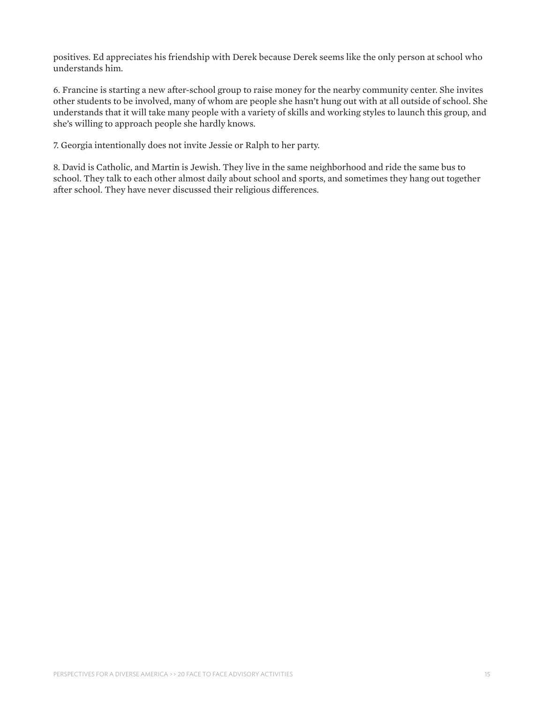positives. Ed appreciates his friendship with Derek because Derek seems like the only person at school who understands him.

6. Francine is starting a new after-school group to raise money for the nearby community center. She invites other students to be involved, many of whom are people she hasn't hung out with at all outside of school. She understands that it will take many people with a variety of skills and working styles to launch this group, and she's willing to approach people she hardly knows.

7. Georgia intentionally does not invite Jessie or Ralph to her party.

8. David is Catholic, and Martin is Jewish. They live in the same neighborhood and ride the same bus to school. They talk to each other almost daily about school and sports, and sometimes they hang out together after school. They have never discussed their religious differences.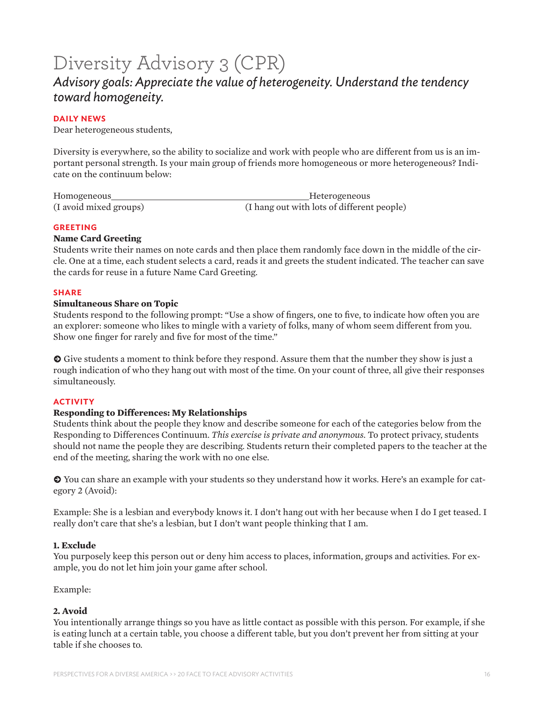# Diversity Advisory 3 (CPR)

### *Advisory goals: Appreciate the value of heterogeneity. Understand the tendency toward homogeneity.*

#### **DAILY NEWS**

Dear heterogeneous students,

Diversity is everywhere, so the ability to socialize and work with people who are different from us is an important personal strength. Is your main group of friends more homogeneous or more heterogeneous? Indicate on the continuum below:

| Homogeneous            | Heterogeneous                              |
|------------------------|--------------------------------------------|
| (I avoid mixed groups) | (I hang out with lots of different people) |

#### **GREETING**

#### **Name Card Greeting**

Students write their names on note cards and then place them randomly face down in the middle of the circle. One at a time, each student selects a card, reads it and greets the student indicated. The teacher can save the cards for reuse in a future Name Card Greeting.

#### **SHARE**

#### **Simultaneous Share on Topic**

Students respond to the following prompt: "Use a show of fingers, one to five, to indicate how often you are an explorer: someone who likes to mingle with a variety of folks, many of whom seem different from you. Show one finger for rarely and five for most of the time."

 $\odot$  Give students a moment to think before they respond. Assure them that the number they show is just a rough indication of who they hang out with most of the time. On your count of three, all give their responses simultaneously.

#### **ACTIVITY**

#### **Responding to Differences: My Relationships**

Students think about the people they know and describe someone for each of the categories below from the Responding to Differences Continuum. *This exercise is private and anonymous.* To protect privacy, students should not name the people they are describing. Students return their completed papers to the teacher at the end of the meeting, sharing the work with no one else.

 $\bullet$  You can share an example with your students so they understand how it works. Here's an example for category 2 (Avoid):

Example: She is a lesbian and everybody knows it. I don't hang out with her because when I do I get teased. I really don't care that she's a lesbian, but I don't want people thinking that I am.

#### **1. Exclude**

You purposely keep this person out or deny him access to places, information, groups and activities. For example, you do not let him join your game after school.

#### Example:

#### **2. Avoid**

You intentionally arrange things so you have as little contact as possible with this person. For example, if she is eating lunch at a certain table, you choose a different table, but you don't prevent her from sitting at your table if she chooses to.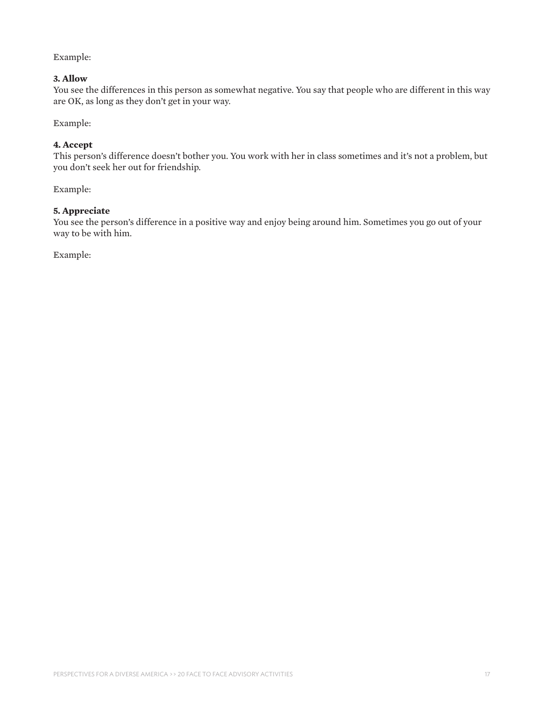#### Example:

#### **3. Allow**

You see the differences in this person as somewhat negative. You say that people who are different in this way are OK, as long as they don't get in your way.

Example:

#### **4. Accept**

This person's difference doesn't bother you. You work with her in class sometimes and it's not a problem, but you don't seek her out for friendship.

Example:

#### **5. Appreciate**

You see the person's difference in a positive way and enjoy being around him. Sometimes you go out of your way to be with him.

Example: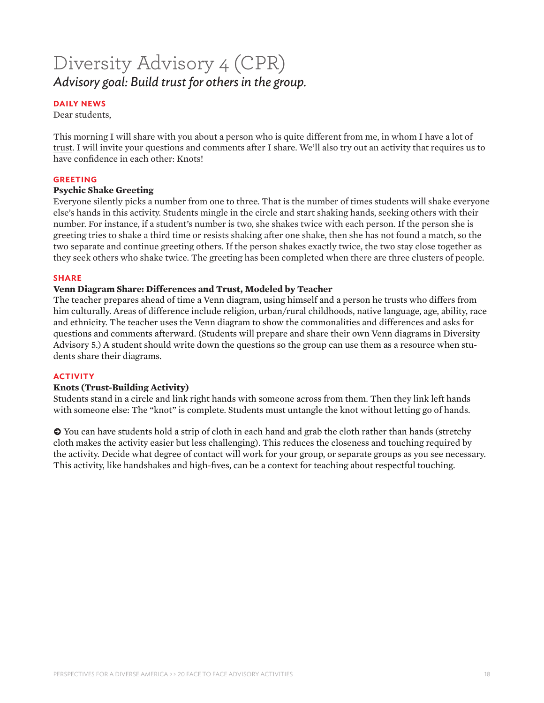# Diversity Advisory 4 (CPR) *Advisory goal: Build trust for others in the group.*

#### **DAILY NEWS**

Dear students,

This morning I will share with you about a person who is quite different from me, in whom I have a lot of trust. I will invite your questions and comments after I share. We'll also try out an activity that requires us to have confidence in each other: Knots!

#### **GREETING**

#### **Psychic Shake Greeting**

Everyone silently picks a number from one to three. That is the number of times students will shake everyone else's hands in this activity. Students mingle in the circle and start shaking hands, seeking others with their number. For instance, if a student's number is two, she shakes twice with each person. If the person she is greeting tries to shake a third time or resists shaking after one shake, then she has not found a match, so the two separate and continue greeting others. If the person shakes exactly twice, the two stay close together as they seek others who shake twice. The greeting has been completed when there are three clusters of people.

#### **SHARE**

#### **Venn Diagram Share: Differences and Trust, Modeled by Teacher**

The teacher prepares ahead of time a Venn diagram, using himself and a person he trusts who differs from him culturally. Areas of difference include religion, urban/rural childhoods, native language, age, ability, race and ethnicity. The teacher uses the Venn diagram to show the commonalities and differences and asks for questions and comments afterward. (Students will prepare and share their own Venn diagrams in Diversity Advisory 5.) A student should write down the questions so the group can use them as a resource when students share their diagrams.

#### **ACTIVITY**

#### **Knots (Trust-Building Activity)**

Students stand in a circle and link right hands with someone across from them. Then they link left hands with someone else: The "knot" is complete. Students must untangle the knot without letting go of hands.

 $\odot$  You can have students hold a strip of cloth in each hand and grab the cloth rather than hands (stretchy cloth makes the activity easier but less challenging). This reduces the closeness and touching required by the activity. Decide what degree of contact will work for your group, or separate groups as you see necessary. This activity, like handshakes and high-fives, can be a context for teaching about respectful touching.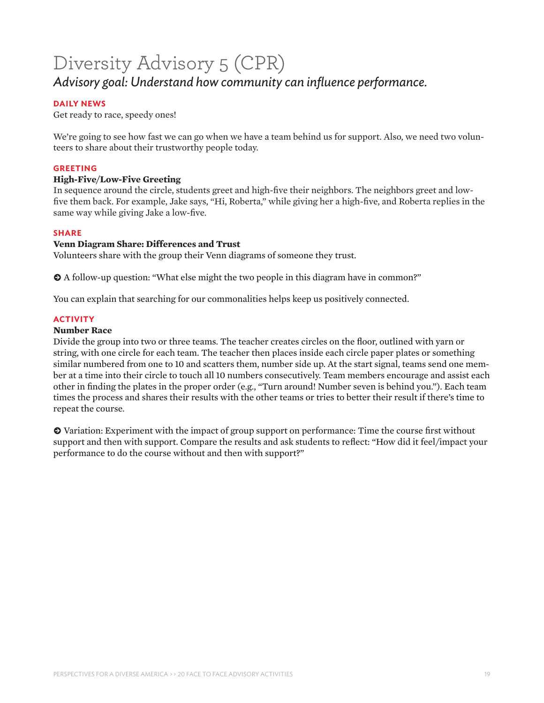# Diversity Advisory 5 (CPR) *Advisory goal: Understand how community can influence performance.*

#### **DAILY NEWS**

Get ready to race, speedy ones!

We're going to see how fast we can go when we have a team behind us for support. Also, we need two volunteers to share about their trustworthy people today.

#### **GREETING**

#### **High-Five/Low-Five Greeting**

In sequence around the circle, students greet and high-five their neighbors. The neighbors greet and lowfive them back. For example, Jake says, "Hi, Roberta," while giving her a high-five, and Roberta replies in the same way while giving Jake a low-five.

#### **SHARE**

#### **Venn Diagram Share: Differences and Trust**

Volunteers share with the group their Venn diagrams of someone they trust.

 $\Theta$  A follow-up question: "What else might the two people in this diagram have in common?"

You can explain that searching for our commonalities helps keep us positively connected.

#### **ACTIVITY**

#### **Number Race**

Divide the group into two or three teams. The teacher creates circles on the floor, outlined with yarn or string, with one circle for each team. The teacher then places inside each circle paper plates or something similar numbered from one to 10 and scatters them, number side up. At the start signal, teams send one member at a time into their circle to touch all 10 numbers consecutively. Team members encourage and assist each other in finding the plates in the proper order (e.g., "Turn around! Number seven is behind you."). Each team times the process and shares their results with the other teams or tries to better their result if there's time to repeat the course.

 $\bullet$  Variation: Experiment with the impact of group support on performance: Time the course first without support and then with support. Compare the results and ask students to reflect: "How did it feel/impact your performance to do the course without and then with support?"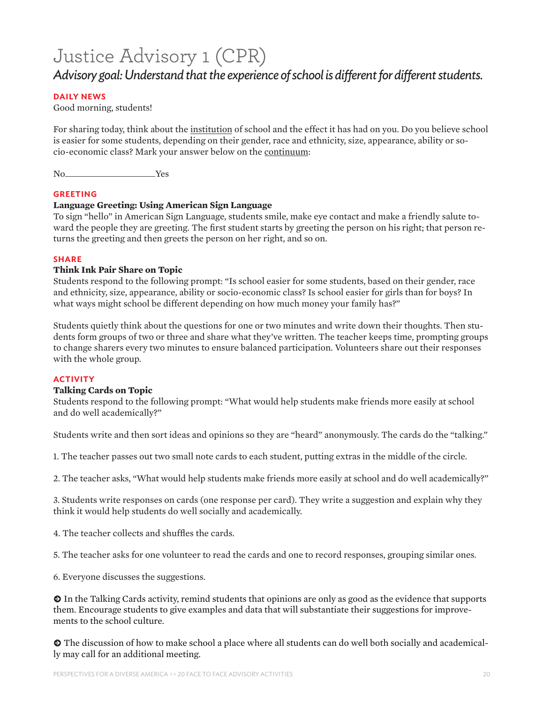# Justice Advisory 1 (CPR)

### *Advisory goal: Understand that the experience of school is different for different students.*

#### **DAILY NEWS**

Good morning, students!

For sharing today, think about the institution of school and the effect it has had on you. Do you believe school is easier for some students, depending on their gender, race and ethnicity, size, appearance, ability or socio-economic class? Mark your answer below on the continuum:

No\_\_\_\_\_\_\_\_\_\_\_\_\_\_\_\_\_\_\_\_\_\_\_Yes

#### **GREETING**

#### **Language Greeting: Using American Sign Language**

To sign "hello" in American Sign Language, students smile, make eye contact and make a friendly salute toward the people they are greeting. The first student starts by greeting the person on his right; that person returns the greeting and then greets the person on her right, and so on.

#### **SHARE**

#### **Think Ink Pair Share on Topic**

Students respond to the following prompt: "Is school easier for some students, based on their gender, race and ethnicity, size, appearance, ability or socio-economic class? Is school easier for girls than for boys? In what ways might school be different depending on how much money your family has?"

Students quietly think about the questions for one or two minutes and write down their thoughts. Then students form groups of two or three and share what they've written. The teacher keeps time, prompting groups to change sharers every two minutes to ensure balanced participation. Volunteers share out their responses with the whole group.

#### **ACTIVITY**

#### **Talking Cards on Topic**

Students respond to the following prompt: "What would help students make friends more easily at school and do well academically?"

Students write and then sort ideas and opinions so they are "heard" anonymously. The cards do the "talking."

1. The teacher passes out two small note cards to each student, putting extras in the middle of the circle.

2. The teacher asks, "What would help students make friends more easily at school and do well academically?"

3. Students write responses on cards (one response per card). They write a suggestion and explain why they think it would help students do well socially and academically.

4. The teacher collects and shuffles the cards.

5. The teacher asks for one volunteer to read the cards and one to record responses, grouping similar ones.

6. Everyone discusses the suggestions.

**k** In the Talking Cards activity, remind students that opinions are only as good as the evidence that supports them. Encourage students to give examples and data that will substantiate their suggestions for improvements to the school culture.

 $\bullet$  The discussion of how to make school a place where all students can do well both socially and academically may call for an additional meeting.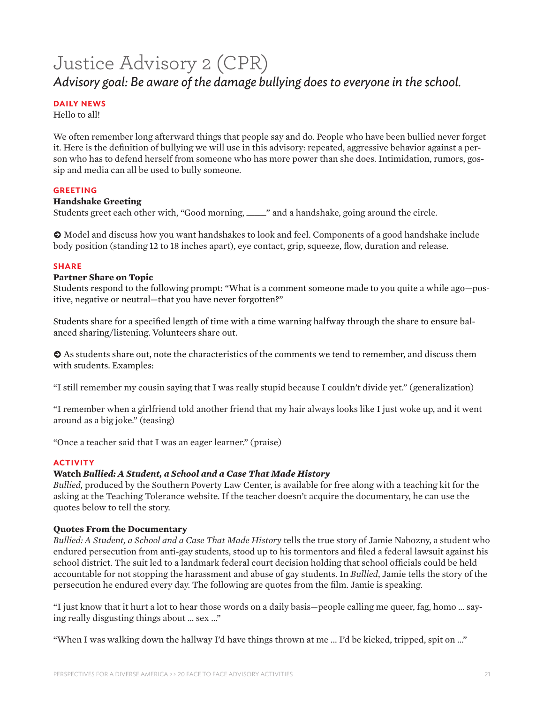# Justice Advisory 2 (CPR) *Advisory goal: Be aware of the damage bullying does to everyone in the school.*

#### **DAILY NEWS**

Hello to all!

We often remember long afterward things that people say and do. People who have been bullied never forget it. Here is the definition of bullying we will use in this advisory: repeated, aggressive behavior against a person who has to defend herself from someone who has more power than she does. Intimidation, rumors, gossip and media can all be used to bully someone.

#### **GREETING**

#### **Handshake Greeting**

Students greet each other with, "Good morning, \_\_\_\_\_" and a handshake, going around the circle.

 $\odot$  Model and discuss how you want handshakes to look and feel. Components of a good handshake include body position (standing 12 to 18 inches apart), eye contact, grip, squeeze, flow, duration and release.

#### **SHARE**

#### **Partner Share on Topic**

Students respond to the following prompt: "What is a comment someone made to you quite a while ago—positive, negative or neutral—that you have never forgotten?"

Students share for a specified length of time with a time warning halfway through the share to ensure balanced sharing/listening. Volunteers share out.

 $\bullet$  As students share out, note the characteristics of the comments we tend to remember, and discuss them with students. Examples:

"I still remember my cousin saying that I was really stupid because I couldn't divide yet." (generalization)

"I remember when a girlfriend told another friend that my hair always looks like I just woke up, and it went around as a big joke." (teasing)

"Once a teacher said that I was an eager learner." (praise)

#### **ACTIVITY**

#### **Watch** *Bullied: A Student, a School and a Case That Made History*

*Bullied,* produced by the Southern Poverty Law Center, is available for free along with a teaching kit for the asking at the Teaching Tolerance website. If the teacher doesn't acquire the documentary, he can use the quotes below to tell the story.

#### **Quotes From the Documentary**

*Bullied: A Student, a School and a Case That Made History* tells the true story of Jamie Nabozny, a student who endured persecution from anti-gay students, stood up to his tormentors and filed a federal lawsuit against his school district. The suit led to a landmark federal court decision holding that school officials could be held accountable for not stopping the harassment and abuse of gay students. In *Bullied*, Jamie tells the story of the persecution he endured every day. The following are quotes from the film. Jamie is speaking.

"I just know that it hurt a lot to hear those words on a daily basis—people calling me queer, fag, homo … saying really disgusting things about … sex …"

"When I was walking down the hallway I'd have things thrown at me ... I'd be kicked, tripped, spit on ..."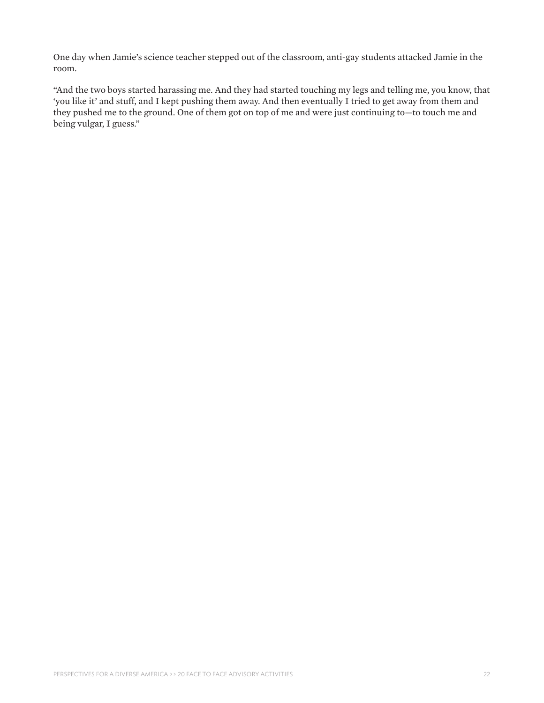One day when Jamie's science teacher stepped out of the classroom, anti-gay students attacked Jamie in the room.

"And the two boys started harassing me. And they had started touching my legs and telling me, you know, that 'you like it' and stuff, and I kept pushing them away. And then eventually I tried to get away from them and they pushed me to the ground. One of them got on top of me and were just continuing to—to touch me and being vulgar, I guess."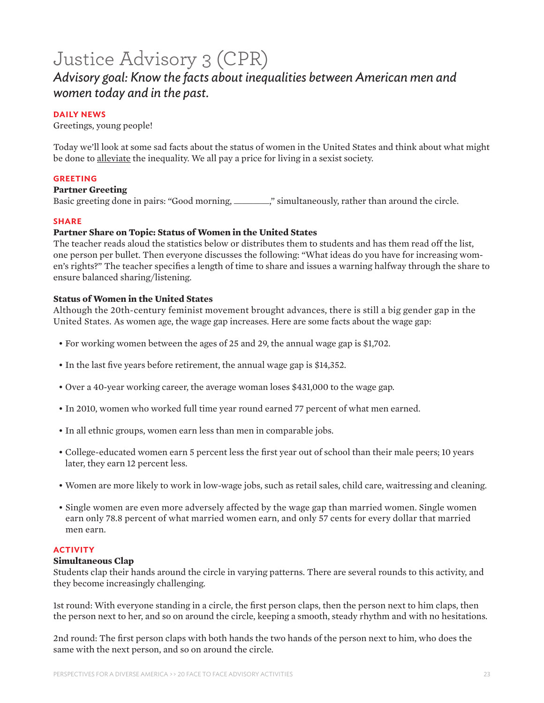### Justice Advisory 3 (CPR) *Advisory goal: Know the facts about inequalities between American men and women today and in the past.*

#### **DAILY NEWS**

Greetings, young people!

Today we'll look at some sad facts about the status of women in the United States and think about what might be done to alleviate the inequality. We all pay a price for living in a sexist society.

#### **GREETING**

#### **Partner Greeting**

Basic greeting done in pairs: "Good morning, \_\_\_\_\_\_\_\_\_," simultaneously, rather than around the circle.

#### **SHARE**

#### **Partner Share on Topic: Status of Women in the United States**

The teacher reads aloud the statistics below or distributes them to students and has them read off the list, one person per bullet. Then everyone discusses the following: "What ideas do you have for increasing women's rights?" The teacher specifies a length of time to share and issues a warning halfway through the share to ensure balanced sharing/listening.

#### **Status of Women in the United States**

Although the 20th-century feminist movement brought advances, there is still a big gender gap in the United States. As women age, the wage gap increases. Here are some facts about the wage gap:

- For working women between the ages of 25 and 29, the annual wage gap is \$1,702.
- In the last five years before retirement, the annual wage gap is \$14,352.
- Over a 40-year working career, the average woman loses \$431,000 to the wage gap.
- In 2010, women who worked full time year round earned 77 percent of what men earned.
- In all ethnic groups, women earn less than men in comparable jobs.
- College-educated women earn 5 percent less the first year out of school than their male peers; 10 years later, they earn 12 percent less.
- Women are more likely to work in low-wage jobs, such as retail sales, child care, waitressing and cleaning.
- Single women are even more adversely affected by the wage gap than married women. Single women earn only 78.8 percent of what married women earn, and only 57 cents for every dollar that married men earn.

#### **ACTIVITY**

#### **Simultaneous Clap**

Students clap their hands around the circle in varying patterns. There are several rounds to this activity, and they become increasingly challenging.

1st round: With everyone standing in a circle, the first person claps, then the person next to him claps, then the person next to her, and so on around the circle, keeping a smooth, steady rhythm and with no hesitations.

2nd round: The first person claps with both hands the two hands of the person next to him, who does the same with the next person, and so on around the circle.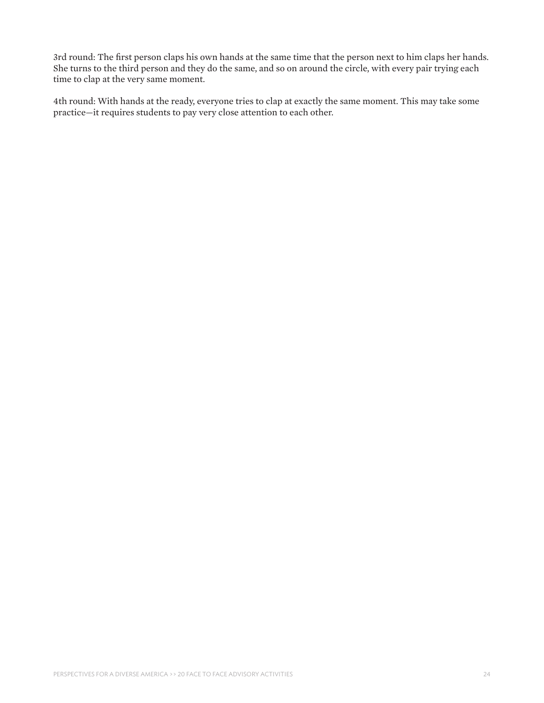3rd round: The first person claps his own hands at the same time that the person next to him claps her hands. She turns to the third person and they do the same, and so on around the circle, with every pair trying each time to clap at the very same moment.

4th round: With hands at the ready, everyone tries to clap at exactly the same moment. This may take some practice—it requires students to pay very close attention to each other.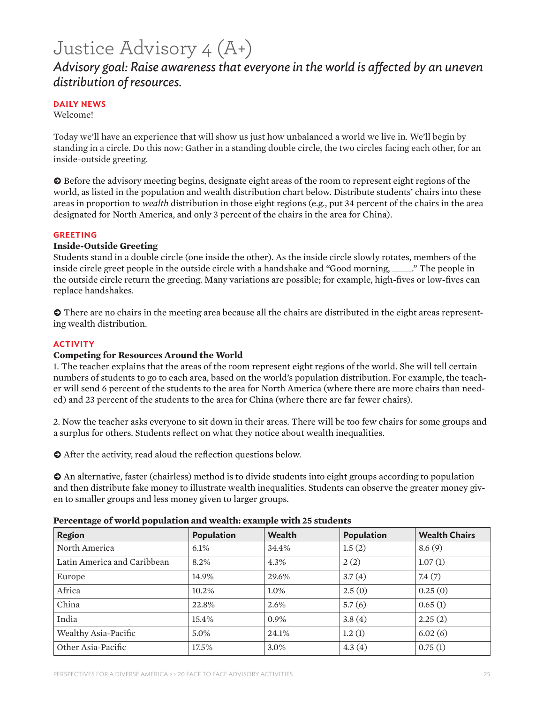# Justice Advisory 4 (A+)

### *Advisory goal: Raise awareness that everyone in the world is affected by an uneven distribution of resources.*

#### **DAILY NEWS**

Welcome!

Today we'll have an experience that will show us just how unbalanced a world we live in. We'll begin by standing in a circle. Do this now: Gather in a standing double circle, the two circles facing each other, for an inside-outside greeting.

 $\bullet$  Before the advisory meeting begins, designate eight areas of the room to represent eight regions of the world, as listed in the population and wealth distribution chart below. Distribute students' chairs into these areas in proportion to *wealth* distribution in those eight regions (e.g., put 34 percent of the chairs in the area designated for North America, and only 3 percent of the chairs in the area for China).

#### **GREETING**

#### **Inside-Outside Greeting**

Students stand in a double circle (one inside the other). As the inside circle slowly rotates, members of the inside circle greet people in the outside circle with a handshake and "Good morning, \_\_\_\_\_." The people in the outside circle return the greeting. Many variations are possible; for example, high-fives or low-fives can replace handshakes.

 $\odot$  There are no chairs in the meeting area because all the chairs are distributed in the eight areas representing wealth distribution.

#### **ACTIVITY**

#### **Competing for Resources Around the World**

1. The teacher explains that the areas of the room represent eight regions of the world. She will tell certain numbers of students to go to each area, based on the world's population distribution. For example, the teacher will send 6 percent of the students to the area for North America (where there are more chairs than needed) and 23 percent of the students to the area for China (where there are far fewer chairs).

2. Now the teacher asks everyone to sit down in their areas. There will be too few chairs for some groups and a surplus for others. Students reflect on what they notice about wealth inequalities.

 $\bullet$  After the activity, read aloud the reflection questions below.

 $\bullet$  An alternative, faster (chairless) method is to divide students into eight groups according to population and then distribute fake money to illustrate wealth inequalities. Students can observe the greater money given to smaller groups and less money given to larger groups.

| <b>Region</b>               | <b>Population</b> | <b>Wealth</b> | <b>Population</b> | <b>Wealth Chairs</b> |
|-----------------------------|-------------------|---------------|-------------------|----------------------|
| North America               | 6.1%              | 34.4%         | 1.5(2)            | 8.6(9)               |
| Latin America and Caribbean | 8.2%              | 4.3%          | 2(2)              | 1.07(1)              |
| Europe                      | 14.9%             | 29.6%         | 3.7(4)            | 7.4(7)               |
| Africa                      | 10.2%             | $1.0\%$       | 2.5(0)            | 0.25(0)              |
| China                       | 22.8%             | $2.6\%$       | 5.7(6)            | 0.65(1)              |
| India                       | 15.4%             | 0.9%          | 3.8(4)            | 2.25(2)              |
| Wealthy Asia-Pacific        | 5.0%              | 24.1%         | 1.2(1)            | 6.02(6)              |
| Other Asia-Pacific          | 17.5%             | 3.0%          | 4.3(4)            | 0.75(1)              |

#### **Percentage of world population and wealth: example with 25 students**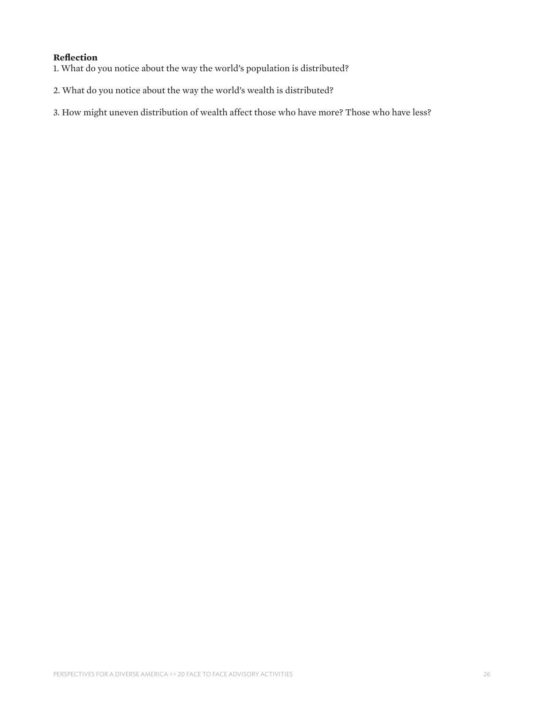#### **Reflection**

- 1. What do you notice about the way the world's population is distributed?
- 2. What do you notice about the way the world's wealth is distributed?
- 3. How might uneven distribution of wealth affect those who have more? Those who have less?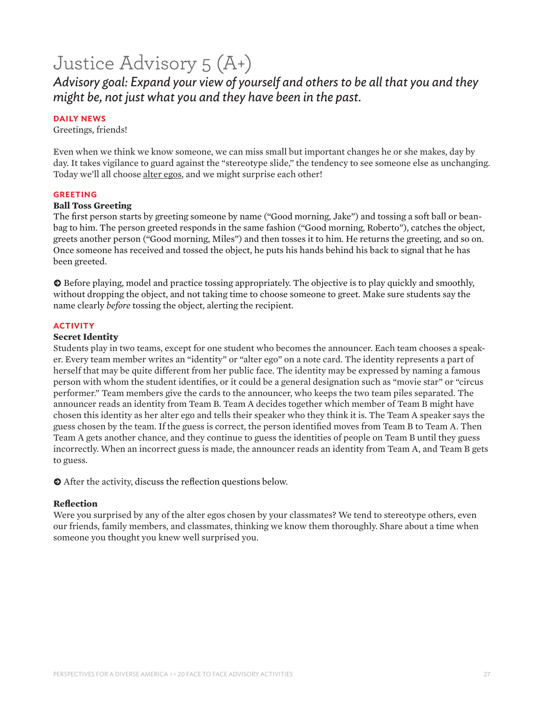# Justice Advisory 5 (A+)

*Advisory goal: Expand your view of yourself and others to be all that you and they might be, not just what you and they have been in the past.*

#### **DAILY NEWS**

Greetings, friends!

Even when we think we know someone, we can miss small but important changes he or she makes, day by day. It takes vigilance to guard against the "stereotype slide," the tendency to see someone else as unchanging. Today we'll all choose alter egos, and we might surprise each other!

#### **GREETING**

#### **Ball Toss Greeting**

The first person starts by greeting someone by name ("Good morning, Jake") and tossing a soft ball or beanbag to him. The person greeted responds in the same fashion ("Good morning, Roberto"), catches the object, greets another person ("Good morning, Miles") and then tosses it to him. He returns the greeting, and so on. Once someone has received and tossed the object, he puts his hands behind his back to signal that he has been greeted.

**k** Before playing, model and practice tossing appropriately. The objective is to play quickly and smoothly, without dropping the object, and not taking time to choose someone to greet. Make sure students say the name clearly *before* tossing the object, alerting the recipient.

#### **ACTIVITY**

#### **Secret Identity**

Students play in two teams, except for one student who becomes the announcer. Each team chooses a speaker. Every team member writes an "identity" or "alter ego" on a note card. The identity represents a part of herself that may be quite different from her public face. The identity may be expressed by naming a famous person with whom the student identifies, or it could be a general designation such as "movie star" or "circus performer." Team members give the cards to the announcer, who keeps the two team piles separated. The announcer reads an identity from Team B. Team A decides together which member of Team B might have chosen this identity as her alter ego and tells their speaker who they think it is. The Team A speaker says the guess chosen by the team. If the guess is correct, the person identified moves from Team B to Team A. Then Team A gets another chance, and they continue to guess the identities of people on Team B until they guess incorrectly. When an incorrect guess is made, the announcer reads an identity from Team A, and Team B gets to guess.

 $\odot$  After the activity, discuss the reflection questions below.

#### **Reflection**

Were you surprised by any of the alter egos chosen by your classmates? We tend to stereotype others, even our friends, family members, and classmates, thinking we know them thoroughly. Share about a time when someone you thought you knew well surprised you.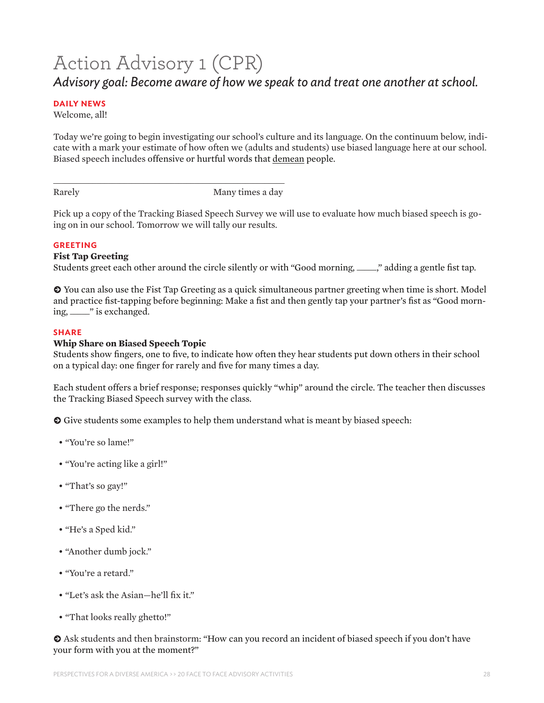# Action Advisory 1 (CPR) *Advisory goal: Become aware of how we speak to and treat one another at school.*

#### **DAILY NEWS**

Welcome, all!

Today we're going to begin investigating our school's culture and its language. On the continuum below, indicate with a mark your estimate of how often we (adults and students) use biased language here at our school. Biased speech includes offensive or hurtful words that demean people.

Rarely Many times a day

Pick up a copy of the Tracking Biased Speech Survey we will use to evaluate how much biased speech is going on in our school. Tomorrow we will tally our results.

#### **GREETING**

#### **Fist Tap Greeting**

Students greet each other around the circle silently or with "Good morning, \_\_\_\_\_," adding a gentle fist tap.

**k** You can also use the Fist Tap Greeting as a quick simultaneous partner greeting when time is short. Model and practice fist-tapping before beginning: Make a fist and then gently tap your partner's fist as "Good morning, \_\_\_\_\_" is exchanged.

#### **SHARE**

#### **Whip Share on Biased Speech Topic**

\_\_\_\_\_\_\_\_\_\_\_\_\_\_\_\_\_\_\_\_\_\_\_\_\_\_\_\_\_\_\_\_\_\_\_\_\_\_\_\_\_\_\_\_\_\_\_\_\_\_\_\_\_\_\_\_\_\_\_

Students show fingers, one to five, to indicate how often they hear students put down others in their school on a typical day: one finger for rarely and five for many times a day.

Each student offers a brief response; responses quickly "whip" around the circle. The teacher then discusses the Tracking Biased Speech survey with the class.

 $\odot$  Give students some examples to help them understand what is meant by biased speech:

- "You're so lame!"
- "You're acting like a girl!"
- "That's so gay!"
- "There go the nerds."
- "He's a Sped kid."
- "Another dumb jock."
- "You're a retard."
- "Let's ask the Asian—he'll fix it."
- "That looks really ghetto!"

 $\odot$  Ask students and then brainstorm: "How can you record an incident of biased speech if you don't have your form with you at the moment?"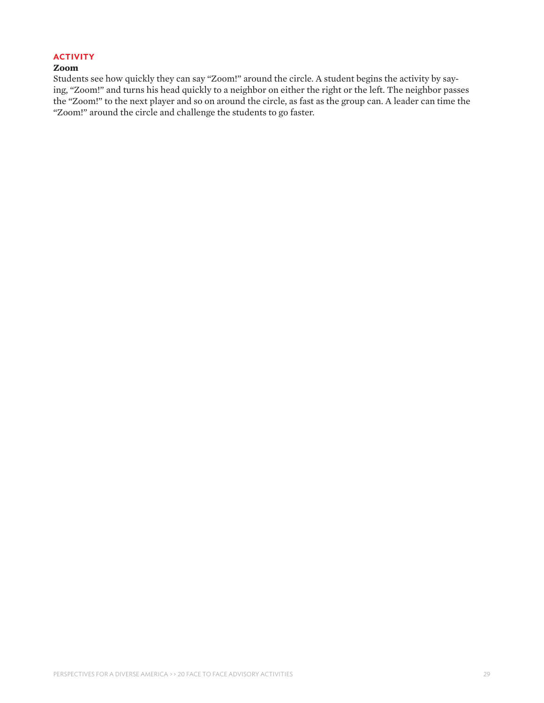#### **ACTIVITY**

#### **Zoom**

Students see how quickly they can say "Zoom!" around the circle. A student begins the activity by saying, "Zoom!" and turns his head quickly to a neighbor on either the right or the left. The neighbor passes the "Zoom!" to the next player and so on around the circle, as fast as the group can. A leader can time the "Zoom!" around the circle and challenge the students to go faster.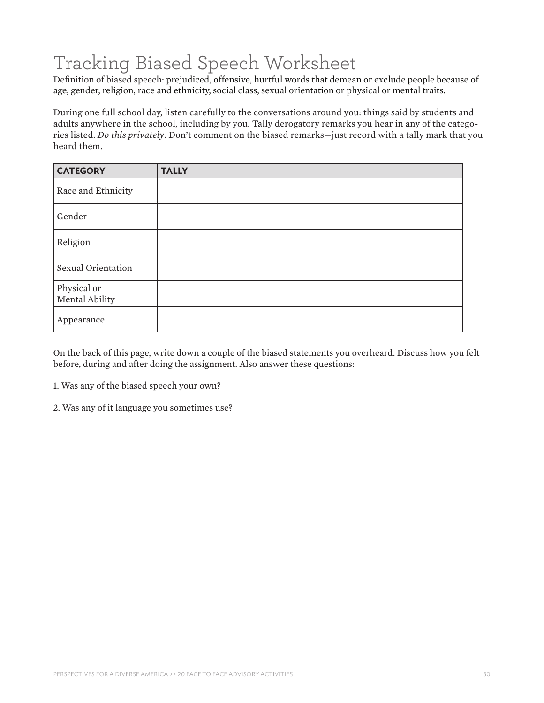# Tracking Biased Speech Worksheet

Definition of biased speech: prejudiced, offensive, hurtful words that demean or exclude people because of age, gender, religion, race and ethnicity, social class, sexual orientation or physical or mental traits.

During one full school day, listen carefully to the conversations around you: things said by students and adults anywhere in the school, including by you. Tally derogatory remarks you hear in any of the categories listed. *Do this privately*. Don't comment on the biased remarks—just record with a tally mark that you heard them.

| <b>CATEGORY</b>               | <b>TALLY</b> |
|-------------------------------|--------------|
| Race and Ethnicity            |              |
| Gender                        |              |
| Religion                      |              |
| Sexual Orientation            |              |
| Physical or<br>Mental Ability |              |
| Appearance                    |              |

On the back of this page, write down a couple of the biased statements you overheard. Discuss how you felt before, during and after doing the assignment. Also answer these questions:

1. Was any of the biased speech your own?

2. Was any of it language you sometimes use?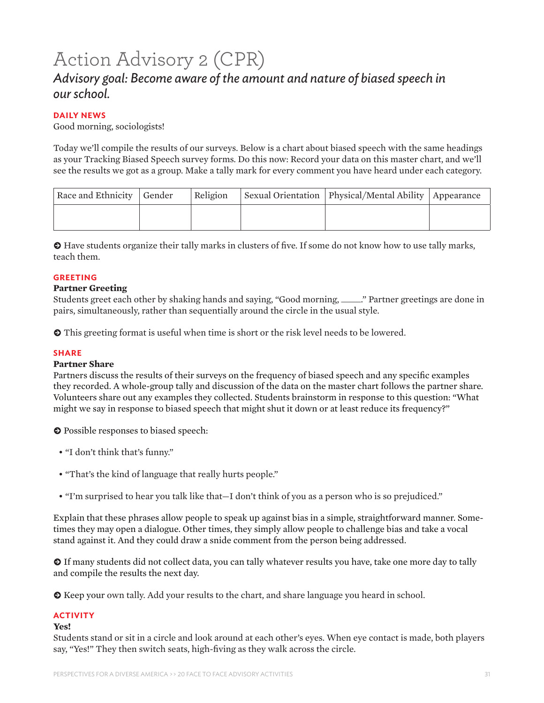# Action Advisory 2 (CPR)

### *Advisory goal: Become aware of the amount and nature of biased speech in our school.*

#### **DAILY NEWS**

Good morning, sociologists!

Today we'll compile the results of our surveys. Below is a chart about biased speech with the same headings as your Tracking Biased Speech survey forms. Do this now: Record your data on this master chart, and we'll see the results we got as a group. Make a tally mark for every comment you have heard under each category.

| Race and Ethnicity Gender | Religion | Sexual Orientation   Physical/Mental Ability   Appearance |  |
|---------------------------|----------|-----------------------------------------------------------|--|
|                           |          |                                                           |  |

 $\odot$  Have students organize their tally marks in clusters of five. If some do not know how to use tally marks, teach them.

#### **GREETING**

#### **Partner Greeting**

Students greet each other by shaking hands and saying, "Good morning, \_\_\_\_\_." Partner greetings are done in pairs, simultaneously, rather than sequentially around the circle in the usual style.

 $\odot$  This greeting format is useful when time is short or the risk level needs to be lowered.

#### **SHARE**

#### **Partner Share**

Partners discuss the results of their surveys on the frequency of biased speech and any specific examples they recorded. A whole-group tally and discussion of the data on the master chart follows the partner share. Volunteers share out any examples they collected. Students brainstorm in response to this question: "What might we say in response to biased speech that might shut it down or at least reduce its frequency?"

 $\bullet$  Possible responses to biased speech:

- "I don't think that's funny."
- "That's the kind of language that really hurts people."
- "I'm surprised to hear you talk like that—I don't think of you as a person who is so prejudiced."

Explain that these phrases allow people to speak up against bias in a simple, straightforward manner. Sometimes they may open a dialogue. Other times, they simply allow people to challenge bias and take a vocal stand against it. And they could draw a snide comment from the person being addressed.

 $\odot$  If many students did not collect data, you can tally whatever results you have, take one more day to tally and compile the results the next day.

 $\odot$  Keep your own tally. Add your results to the chart, and share language you heard in school.

#### **ACTIVITY**

#### **Yes!**

Students stand or sit in a circle and look around at each other's eyes. When eye contact is made, both players say, "Yes!" They then switch seats, high-fiving as they walk across the circle.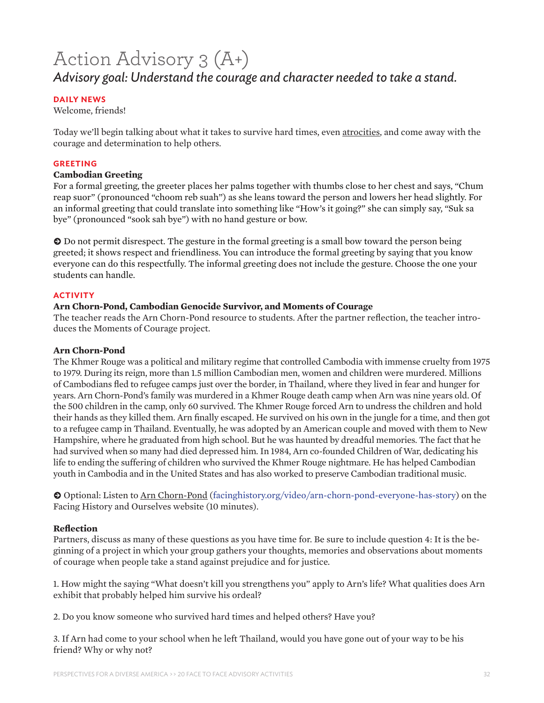# Action Advisory 3 (A+) *Advisory goal: Understand the courage and character needed to take a stand.*

#### **DAILY NEWS**

Welcome, friends!

Today we'll begin talking about what it takes to survive hard times, even atrocities, and come away with the courage and determination to help others.

#### **GREETING**

#### **Cambodian Greeting**

For a formal greeting, the greeter places her palms together with thumbs close to her chest and says, "Chum reap suor" (pronounced "choom reb suah") as she leans toward the person and lowers her head slightly. For an informal greeting that could translate into something like "How's it going?" she can simply say, "Suk sa bye" (pronounced "sook sah bye") with no hand gesture or bow.

 $\bullet$  Do not permit disrespect. The gesture in the formal greeting is a small bow toward the person being greeted; it shows respect and friendliness. You can introduce the formal greeting by saying that you know everyone can do this respectfully. The informal greeting does not include the gesture. Choose the one your students can handle.

#### **ACTIVITY**

#### **Arn Chorn-Pond, Cambodian Genocide Survivor, and Moments of Courage**

The teacher reads the Arn Chorn-Pond resource to students. After the partner reflection, the teacher introduces the Moments of Courage project.

#### **Arn Chorn-Pond**

The Khmer Rouge was a political and military regime that controlled Cambodia with immense cruelty from 1975 to 1979. During its reign, more than 1.5 million Cambodian men, women and children were murdered. Millions of Cambodians fled to refugee camps just over the border, in Thailand, where they lived in fear and hunger for years. Arn Chorn-Pond's family was murdered in a Khmer Rouge death camp when Arn was nine years old. Of the 500 children in the camp, only 60 survived. The Khmer Rouge forced Arn to undress the children and hold their hands as they killed them. Arn finally escaped. He survived on his own in the jungle for a time, and then got to a refugee camp in Thailand. Eventually, he was adopted by an American couple and moved with them to New Hampshire, where he graduated from high school. But he was haunted by dreadful memories. The fact that he had survived when so many had died depressed him. In 1984, Arn co-founded Children of War, dedicating his life to ending the suffering of children who survived the Khmer Rouge nightmare. He has helped Cambodian youth in Cambodia and in the United States and has also worked to preserve Cambodian traditional music.

**k** Optional: Listen to Arn Chorn-Pond ([facinghistory.org/video/arn-chorn-pond-everyone-has-story](http://www.facinghistory.org/video/arn-chorn-pond-everyone-has-story)) on the Facing History and Ourselves website (10 minutes).

#### **Reflection**

Partners, discuss as many of these questions as you have time for. Be sure to include question 4: It is the beginning of a project in which your group gathers your thoughts, memories and observations about moments of courage when people take a stand against prejudice and for justice.

1. How might the saying "What doesn't kill you strengthens you" apply to Arn's life? What qualities does Arn exhibit that probably helped him survive his ordeal?

2. Do you know someone who survived hard times and helped others? Have you?

3. If Arn had come to your school when he left Thailand, would you have gone out of your way to be his friend? Why or why not?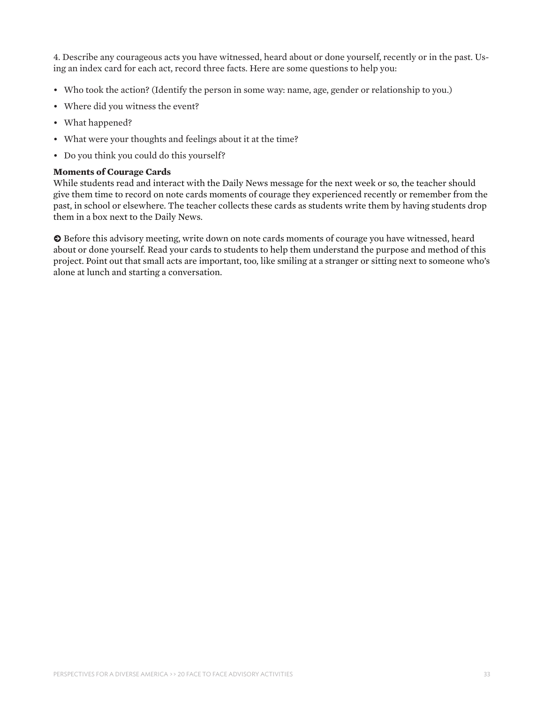4. Describe any courageous acts you have witnessed, heard about or done yourself, recently or in the past. Using an index card for each act, record three facts. Here are some questions to help you:

- Who took the action? (Identify the person in some way: name, age, gender or relationship to you.)
- Where did you witness the event?
- What happened?
- What were your thoughts and feelings about it at the time?
- Do you think you could do this yourself?

#### **Moments of Courage Cards**

While students read and interact with the Daily News message for the next week or so, the teacher should give them time to record on note cards moments of courage they experienced recently or remember from the past, in school or elsewhere. The teacher collects these cards as students write them by having students drop them in a box next to the Daily News.

 $\bullet$  Before this advisory meeting, write down on note cards moments of courage you have witnessed, heard about or done yourself. Read your cards to students to help them understand the purpose and method of this project. Point out that small acts are important, too, like smiling at a stranger or sitting next to someone who's alone at lunch and starting a conversation.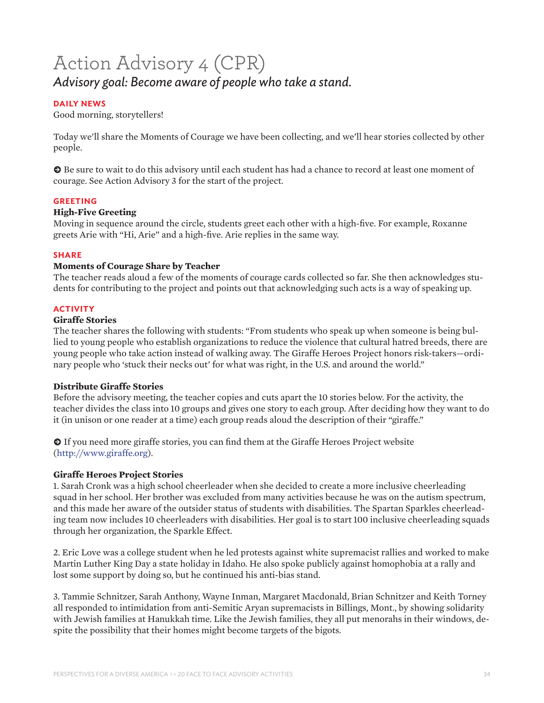# Action Advisory 4 (CPR) *Advisory goal: Become aware of people who take a stand.*

#### **DAILY NEWS**

Good morning, storytellers!

Today we'll share the Moments of Courage we have been collecting, and we'll hear stories collected by other people.

 $\odot$  Be sure to wait to do this advisory until each student has had a chance to record at least one moment of courage. See Action Advisory 3 for the start of the project.

#### **GREETING**

#### **High-Five Greeting**

Moving in sequence around the circle, students greet each other with a high-five. For example, Roxanne greets Arie with "Hi, Arie" and a high-five. Arie replies in the same way.

#### **SHARE**

#### **Moments of Courage Share by Teacher**

The teacher reads aloud a few of the moments of courage cards collected so far. She then acknowledges students for contributing to the project and points out that acknowledging such acts is a way of speaking up.

#### **ACTIVITY**

#### **Giraffe Stories**

The teacher shares the following with students: "From students who speak up when someone is being bullied to young people who establish organizations to reduce the violence that cultural hatred breeds, there are young people who take action instead of walking away. The Giraffe Heroes Project honors risk-takers—ordinary people who 'stuck their necks out' for what was right, in the U.S. and around the world."

#### **Distribute Giraffe Stories**

Before the advisory meeting, the teacher copies and cuts apart the 10 stories below. For the activity, the teacher divides the class into 10 groups and gives one story to each group. After deciding how they want to do it (in unison or one reader at a time) each group reads aloud the description of their "giraffe."

 $\odot$  If you need more giraffe stories, you can find them at the Giraffe Heroes Project website (<http://www.giraffe.org>).

#### **Giraffe Heroes Project Stories**

1. Sarah Cronk was a high school cheerleader when she decided to create a more inclusive cheerleading squad in her school. Her brother was excluded from many activities because he was on the autism spectrum, and this made her aware of the outsider status of students with disabilities. The Spartan Sparkles cheerleading team now includes 10 cheerleaders with disabilities. Her goal is to start 100 inclusive cheerleading squads through her organization, the Sparkle Effect.

2. Eric Love was a college student when he led protests against white supremacist rallies and worked to make Martin Luther King Day a state holiday in Idaho. He also spoke publicly against homophobia at a rally and lost some support by doing so, but he continued his anti-bias stand.

3. Tammie Schnitzer, Sarah Anthony, Wayne Inman, Margaret Macdonald, Brian Schnitzer and Keith Torney all responded to intimidation from anti-Semitic Aryan supremacists in Billings, Mont., by showing solidarity with Jewish families at Hanukkah time. Like the Jewish families, they all put menorahs in their windows, despite the possibility that their homes might become targets of the bigots.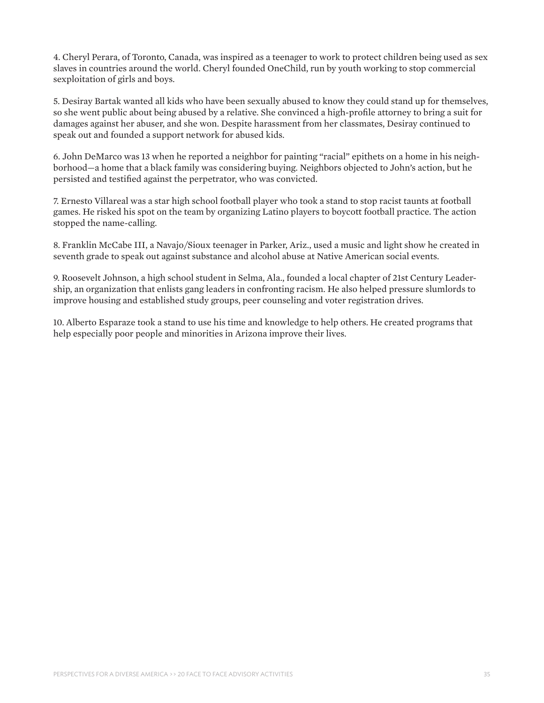4. Cheryl Perara, of Toronto, Canada, was inspired as a teenager to work to protect children being used as sex slaves in countries around the world. Cheryl founded OneChild, run by youth working to stop commercial sexploitation of girls and boys.

5. Desiray Bartak wanted all kids who have been sexually abused to know they could stand up for themselves, so she went public about being abused by a relative. She convinced a high-profile attorney to bring a suit for damages against her abuser, and she won. Despite harassment from her classmates, Desiray continued to speak out and founded a support network for abused kids.

6. John DeMarco was 13 when he reported a neighbor for painting "racial" epithets on a home in his neighborhood—a home that a black family was considering buying. Neighbors objected to John's action, but he persisted and testified against the perpetrator, who was convicted.

7. Ernesto Villareal was a star high school football player who took a stand to stop racist taunts at football games. He risked his spot on the team by organizing Latino players to boycott football practice. The action stopped the name-calling.

8. Franklin McCabe III, a Navajo/Sioux teenager in Parker, Ariz., used a music and light show he created in seventh grade to speak out against substance and alcohol abuse at Native American social events.

9. Roosevelt Johnson, a high school student in Selma, Ala., founded a local chapter of 21st Century Leadership, an organization that enlists gang leaders in confronting racism. He also helped pressure slumlords to improve housing and established study groups, peer counseling and voter registration drives.

10. Alberto Esparaze took a stand to use his time and knowledge to help others. He created programs that help especially poor people and minorities in Arizona improve their lives.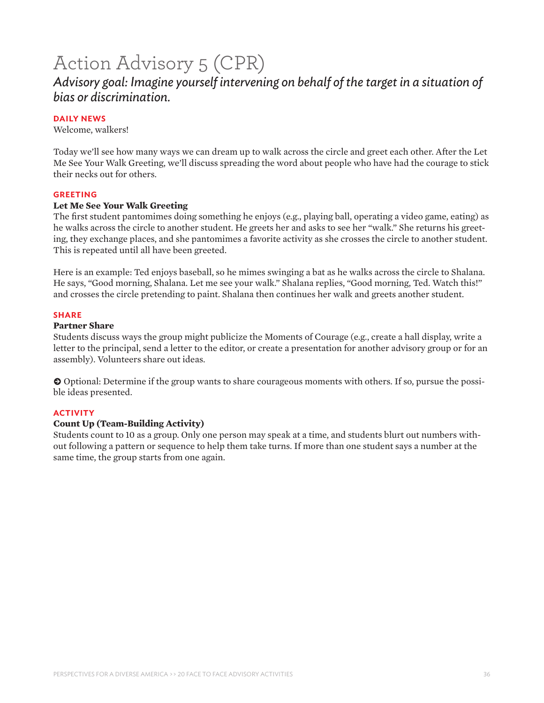# Action Advisory 5 (CPR)

### *Advisory goal: Imagine yourself intervening on behalf of the target in a situation of bias or discrimination.*

#### **DAILY NEWS**

Welcome, walkers!

Today we'll see how many ways we can dream up to walk across the circle and greet each other. After the Let Me See Your Walk Greeting, we'll discuss spreading the word about people who have had the courage to stick their necks out for others.

#### **GREETING**

#### **Let Me See Your Walk Greeting**

The first student pantomimes doing something he enjoys (e.g., playing ball, operating a video game, eating) as he walks across the circle to another student. He greets her and asks to see her "walk." She returns his greeting, they exchange places, and she pantomimes a favorite activity as she crosses the circle to another student. This is repeated until all have been greeted.

Here is an example: Ted enjoys baseball, so he mimes swinging a bat as he walks across the circle to Shalana. He says, "Good morning, Shalana. Let me see your walk." Shalana replies, "Good morning, Ted. Watch this!" and crosses the circle pretending to paint. Shalana then continues her walk and greets another student.

#### **SHARE**

#### **Partner Share**

Students discuss ways the group might publicize the Moments of Courage (e.g., create a hall display, write a letter to the principal, send a letter to the editor, or create a presentation for another advisory group or for an assembly). Volunteers share out ideas.

 $\bullet$  Optional: Determine if the group wants to share courageous moments with others. If so, pursue the possible ideas presented.

#### **ACTIVITY**

#### **Count Up (Team-Building Activity)**

Students count to 10 as a group. Only one person may speak at a time, and students blurt out numbers without following a pattern or sequence to help them take turns. If more than one student says a number at the same time, the group starts from one again.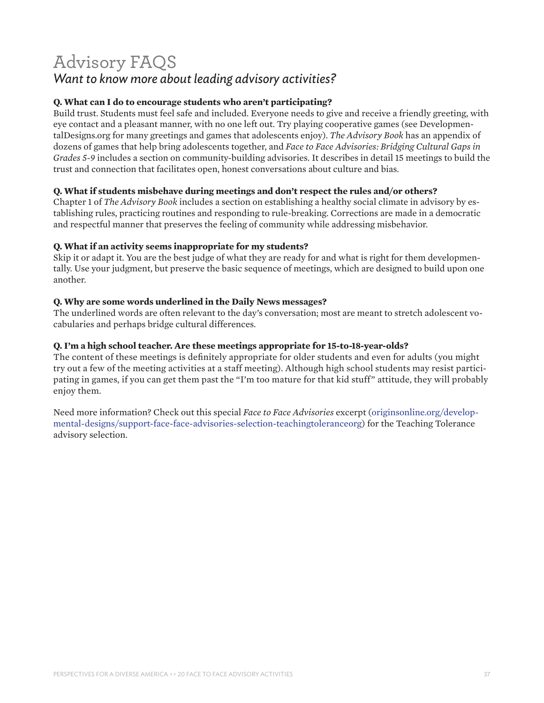### Advisory FAQS *Want to know more about leading advisory activities?*

#### **Q. What can I do to encourage students who aren't participating?**

Build trust. Students must feel safe and included. Everyone needs to give and receive a friendly greeting, with eye contact and a pleasant manner, with no one left out. Try playing cooperative games (see DevelopmentalDesigns.org for many greetings and games that adolescents enjoy). *The Advisory Book* has an appendix of dozens of games that help bring adolescents together, and *Face to Face Advisories: Bridging Cultural Gaps in Grades 5-9* includes a section on community-building advisories. It describes in detail 15 meetings to build the trust and connection that facilitates open, honest conversations about culture and bias.

#### **Q. What if students misbehave during meetings and don't respect the rules and/or others?**

Chapter 1 of *The Advisory Book* includes a section on establishing a healthy social climate in advisory by establishing rules, practicing routines and responding to rule-breaking. Corrections are made in a democratic and respectful manner that preserves the feeling of community while addressing misbehavior.

#### **Q. What if an activity seems inappropriate for my students?**

Skip it or adapt it. You are the best judge of what they are ready for and what is right for them developmentally. Use your judgment, but preserve the basic sequence of meetings, which are designed to build upon one another.

#### **Q. Why are some words underlined in the Daily News messages?**

The underlined words are often relevant to the day's conversation; most are meant to stretch adolescent vocabularies and perhaps bridge cultural differences.

#### **Q. I'm a high school teacher. Are these meetings appropriate for 15-to-18-year-olds?**

The content of these meetings is definitely appropriate for older students and even for adults (you might try out a few of the meeting activities at a staff meeting). Although high school students may resist participating in games, if you can get them past the "I'm too mature for that kid stuff" attitude, they will probably enjoy them.

Need more information? Check out this special *Face to Face Advisories* excerpt [\(originsonline.org/develop](http://originsonline.org/developmental-designs/support-face-face-advisories-selection-teachingtoleranceorg)[mental-designs/support-face-face-advisories-selection-teachingtoleranceorg](http://originsonline.org/developmental-designs/support-face-face-advisories-selection-teachingtoleranceorg)) for the Teaching Tolerance advisory selection.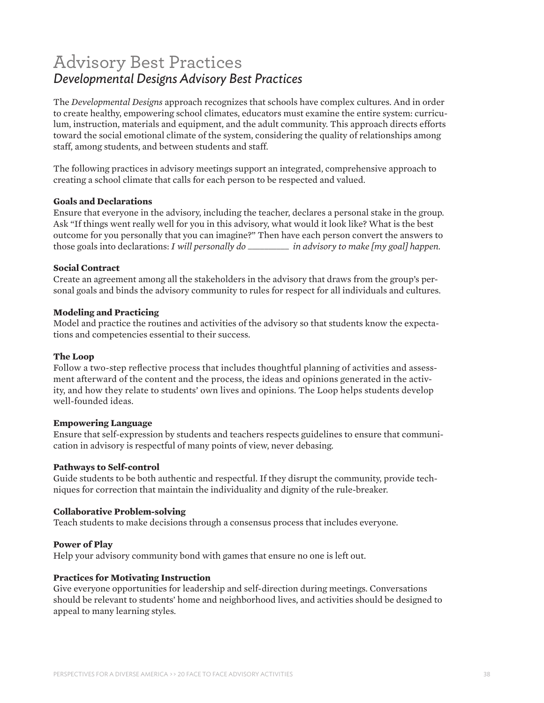### Advisory Best Practices *Developmental Designs Advisory Best Practices*

The *Developmental Designs* approach recognizes that schools have complex cultures. And in order to create healthy, empowering school climates, educators must examine the entire system: curriculum, instruction, materials and equipment, and the adult community. This approach directs efforts toward the social emotional climate of the system, considering the quality of relationships among staff, among students, and between students and staff.

The following practices in advisory meetings support an integrated, comprehensive approach to creating a school climate that calls for each person to be respected and valued.

#### **Goals and Declarations**

Ensure that everyone in the advisory, including the teacher, declares a personal stake in the group. Ask "If things went really well for you in this advisory, what would it look like? What is the best outcome for you personally that you can imagine?" Then have each person convert the answers to those goals into declarations: *I will personally do \_\_\_\_\_\_\_\_\_\_ in advisory to make [my goal] happen.*

#### **Social Contract**

Create an agreement among all the stakeholders in the advisory that draws from the group's personal goals and binds the advisory community to rules for respect for all individuals and cultures.

#### **Modeling and Practicing**

Model and practice the routines and activities of the advisory so that students know the expectations and competencies essential to their success.

#### **The Loop**

Follow a two-step reflective process that includes thoughtful planning of activities and assessment afterward of the content and the process, the ideas and opinions generated in the activity, and how they relate to students' own lives and opinions. The Loop helps students develop well-founded ideas.

#### **Empowering Language**

Ensure that self-expression by students and teachers respects guidelines to ensure that communication in advisory is respectful of many points of view, never debasing.

#### **Pathways to Self-control**

Guide students to be both authentic and respectful. If they disrupt the community, provide techniques for correction that maintain the individuality and dignity of the rule-breaker.

#### **Collaborative Problem-solving**

Teach students to make decisions through a consensus process that includes everyone.

#### **Power of Play**

Help your advisory community bond with games that ensure no one is left out.

#### **Practices for Motivating Instruction**

Give everyone opportunities for leadership and self-direction during meetings. Conversations should be relevant to students' home and neighborhood lives, and activities should be designed to appeal to many learning styles.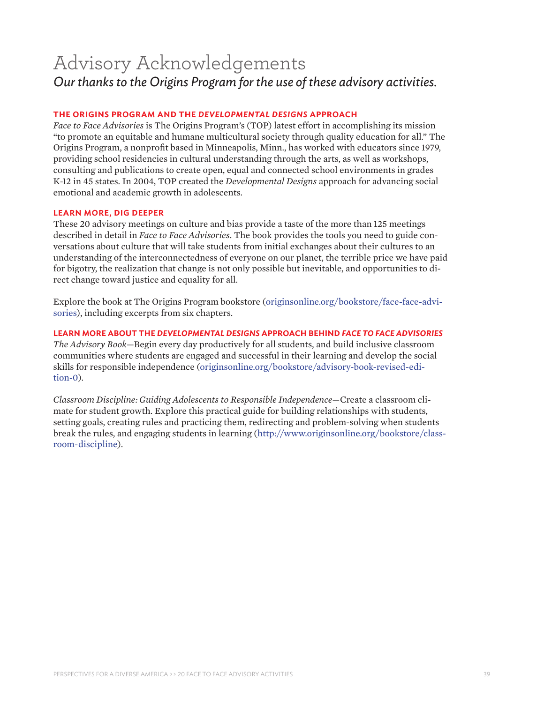# Advisory Acknowledgements *Our thanks to the Origins Program for the use of these advisory activities.*

#### **THE ORIGINS PROGRAM AND THE** *DEVELOPMENTAL DESIGNS* **APPROACH**

*Face to Face Advisories* is The Origins Program's (TOP) latest effort in accomplishing its mission "to promote an equitable and humane multicultural society through quality education for all." The Origins Program, a nonprofit based in Minneapolis, Minn., has worked with educators since 1979, providing school residencies in cultural understanding through the arts, as well as workshops, consulting and publications to create open, equal and connected school environments in grades K-12 in 45 states. In 2004, TOP created the *Developmental Designs* approach for advancing social emotional and academic growth in adolescents.

#### **LEARN MORE, DIG DEEPER**

These 20 advisory meetings on culture and bias provide a taste of the more than 125 meetings described in detail in *Face to Face Advisories*. The book provides the tools you need to guide conversations about culture that will take students from initial exchanges about their cultures to an understanding of the interconnectedness of everyone on our planet, the terrible price we have paid for bigotry, the realization that change is not only possible but inevitable, and opportunities to direct change toward justice and equality for all.

Explore the book at The Origins Program bookstore [\(originsonline.org/bookstore/face-face-advi](http://originsonline.org/bookstore/face-face-advisories)[sories\)](http://originsonline.org/bookstore/face-face-advisories), including excerpts from six chapters.

#### **LEARN MORE ABOUT THE** *DEVELOPMENTAL DESIGNS* **APPROACH BEHIND** *FACE TO FACE ADVISORIES*

*The Advisory Book*—Begin every day productively for all students, and build inclusive classroom communities where students are engaged and successful in their learning and develop the social skills for responsible independence [\(originsonline.org/bookstore/advisory-book-revised-edi](http://originsonline.org/bookstore/advisory-book-revised-edition-0)[tion-0\)](http://originsonline.org/bookstore/advisory-book-revised-edition-0).

*Classroom Discipline: Guiding Adolescents to Responsible Independence*—Create a classroom climate for student growth. Explore this practical guide for building relationships with students, setting goals, creating rules and practicing them, redirecting and problem-solving when students break the rules, and engaging students in learning (http://[www.originsonline.org/bookstore/class](http://www.originsonline.org/bookstore/classroom-discipline)[room-discipline](http://www.originsonline.org/bookstore/classroom-discipline)).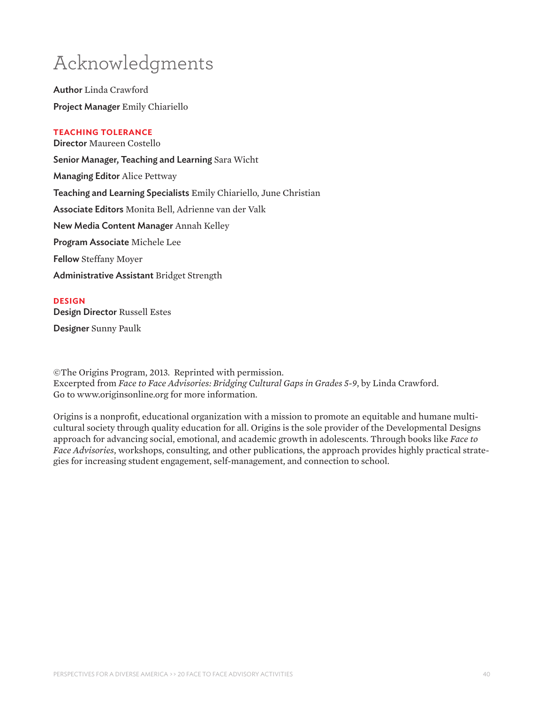# Acknowledgments

Author Linda Crawford Project Manager Emily Chiariello

#### **TEACHING TOLERANCE**

Director Maureen Costello Senior Manager, Teaching and Learning Sara Wicht Managing Editor Alice Pettway Teaching and Learning Specialists Emily Chiariello, June Christian Associate Editors Monita Bell, Adrienne van der Valk New Media Content Manager Annah Kelley Program Associate Michele Lee Fellow Steffany Moyer Administrative Assistant Bridget Strength

#### **DESIGN**

Design Director Russell Estes Designer Sunny Paulk

©The Origins Program, 2013. Reprinted with permission. Excerpted from *Face to Face Advisories: Bridging Cultural Gaps in Grades 5-9*, by Linda Crawford. Go to www.originsonline.org for more information.

Origins is a nonprofit, educational organization with a mission to promote an equitable and humane multicultural society through quality education for all. Origins is the sole provider of the Developmental Designs approach for advancing social, emotional, and academic growth in adolescents. Through books like *Face to Face Advisories*, workshops, consulting, and other publications, the approach provides highly practical strategies for increasing student engagement, self-management, and connection to school.